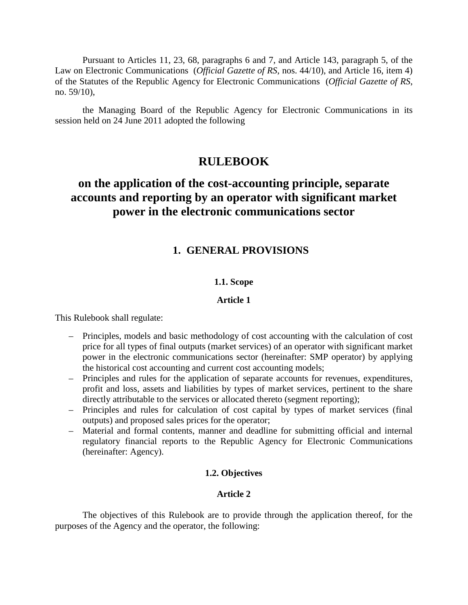Pursuant to Articles 11, 23, 68, paragraphs 6 and 7, and Article 143, paragraph 5, of the Law on Electronic Communications (*Official Gazette of RS*, nos. 44/10), and Article 16, item 4) of the Statutes of the Republic Agency for Electronic Communications (*Official Gazette of RS*, no. 59/10),

the Managing Board of the Republic Agency for Electronic Communications in its session held on 24 June 2011 adopted the following

# **RULEBOOK**

# **on the application of the cost-accounting principle, separate accounts and reporting by an operator with significant market power in the electronic communications sector**

# **1. GENERAL PROVISIONS**

# **1.1. Scope**

## **Article 1**

This Rulebook shall regulate:

- Principles, models and basic methodology of cost accounting with the calculation of cost price for all types of final outputs (market services) of an operator with significant market power in the electronic communications sector (hereinafter: SMP operator) by applying the historical cost accounting and current cost accounting models;
- Principles and rules for the application of separate accounts for revenues, expenditures, profit and loss, assets and liabilities by types of market services, pertinent to the share directly attributable to the services or allocated thereto (segment reporting);
- Principles and rules for calculation of cost capital by types of market services (final outputs) and proposed sales prices for the operator;
- Material and formal contents, manner and deadline for submitting official and internal regulatory financial reports to the Republic Agency for Electronic Communications (hereinafter: Agency).

# **1.2. Objectives**

# **Article 2**

The objectives of this Rulebook are to provide through the application thereof, for the purposes of the Agency and the operator, the following: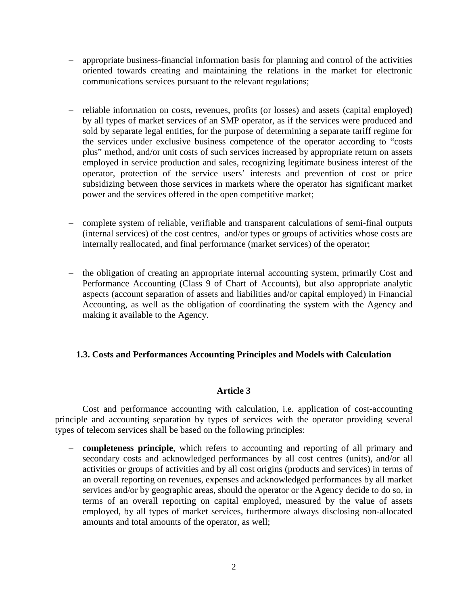- appropriate business-financial information basis for planning and control of the activities oriented towards creating and maintaining the relations in the market for electronic communications services pursuant to the relevant regulations;
- reliable information on costs, revenues, profits (or losses) and assets (capital employed) by all types of market services of an SMP operator, as if the services were produced and sold by separate legal entities, for the purpose of determining a separate tariff regime for the services under exclusive business competence of the operator according to "costs plus" method, and/or unit costs of such services increased by appropriate return on assets employed in service production and sales, recognizing legitimate business interest of the operator, protection of the service users' interests and prevention of cost or price subsidizing between those services in markets where the operator has significant market power and the services offered in the open competitive market;
- complete system of reliable, verifiable and transparent calculations of semi-final outputs (internal services) of the cost centres, and/or types or groups of activities whose costs are internally reallocated, and final performance (market services) of the operator;
- the obligation of creating an appropriate internal accounting system, primarily Cost and Performance Accounting (Class 9 of Chart of Accounts), but also appropriate analytic aspects (account separation of assets and liabilities and/or capital employed) in Financial Accounting, as well as the obligation of coordinating the system with the Agency and making it available to the Agency.

# **1.3. Costs and Performances Accounting Principles and Models with Calculation**

# **Article 3**

Cost and performance accounting with calculation, i.e. application of cost-accounting principle and accounting separation by types of services with the operator providing several types of telecom services shall be based on the following principles:

– **completeness principle**, which refers to accounting and reporting of all primary and secondary costs and acknowledged performances by all cost centres (units), and/or all activities or groups of activities and by all cost origins (products and services) in terms of an overall reporting on revenues, expenses and acknowledged performances by all market services and/or by geographic areas, should the operator or the Agency decide to do so, in terms of an overall reporting on capital employed, measured by the value of assets employed, by all types of market services, furthermore always disclosing non-allocated amounts and total amounts of the operator, as well;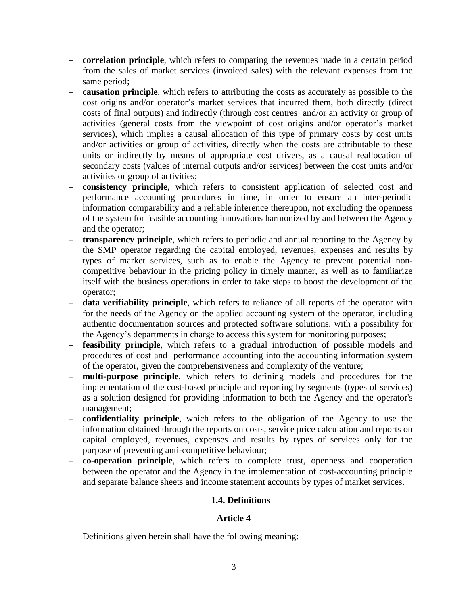- **correlation principle**, which refers to comparing the revenues made in a certain period from the sales of market services (invoiced sales) with the relevant expenses from the same period;
- **causation principle**, which refers to attributing the costs as accurately as possible to the cost origins and/or operator's market services that incurred them, both directly (direct costs of final outputs) and indirectly (through cost centres and/or an activity or group of activities (general costs from the viewpoint of cost origins and/or operator's market services), which implies a causal allocation of this type of primary costs by cost units and/or activities or group of activities, directly when the costs are attributable to these units or indirectly by means of appropriate cost drivers, as a causal reallocation of secondary costs (values of internal outputs and/or services) between the cost units and/or activities or group of activities;
- **consistency principle**, which refers to consistent application of selected cost and performance accounting procedures in time, in order to ensure an inter-periodic information comparability and a reliable inference thereupon, not excluding the openness of the system for feasible accounting innovations harmonized by and between the Agency and the operator;
- **transparency principle**, which refers to periodic and annual reporting to the Agency by the SMP operator regarding the capital employed, revenues, expenses and results by types of market services, such as to enable the Agency to prevent potential noncompetitive behaviour in the pricing policy in timely manner, as well as to familiarize itself with the business operations in order to take steps to boost the development of the operator;
- **data verifiability principle**, which refers to reliance of all reports of the operator with for the needs of the Agency on the applied accounting system of the operator, including authentic documentation sources and protected software solutions, with a possibility for the Agency's departments in charge to access this system for monitoring purposes;
- **feasibility principle**, which refers to a gradual introduction of possible models and procedures of cost and performance accounting into the accounting information system of the operator, given the comprehensiveness and complexity of the venture;
- **multi-purpose principle**, which refers to defining models and procedures for the implementation of the cost-based principle and reporting by segments (types of services) as a solution designed for providing information to both the Agency and the operator's management;
- **confidentiality principle**, which refers to the obligation of the Agency to use the information obtained through the reports on costs, service price calculation and reports on capital employed, revenues, expenses and results by types of services only for the purpose of preventing anti-competitive behaviour;
- **co-operation principle**, which refers to complete trust, openness and cooperation between the operator and the Agency in the implementation of cost-accounting principle and separate balance sheets and income statement accounts by types of market services.

# **1.4. Definitions**

# **Article 4**

Definitions given herein shall have the following meaning: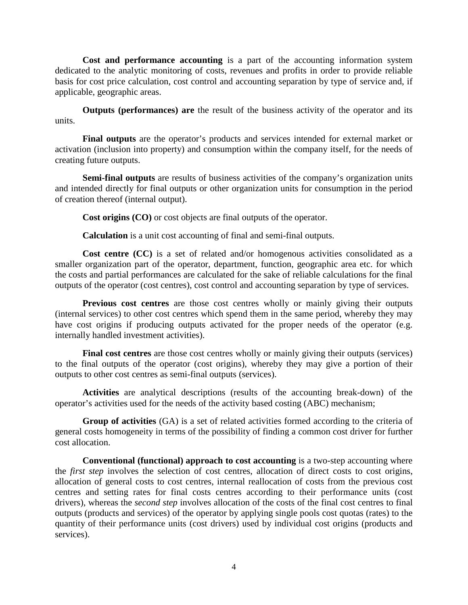**Cost and performance accounting** is a part of the accounting information system dedicated to the analytic monitoring of costs, revenues and profits in order to provide reliable basis for cost price calculation, cost control and accounting separation by type of service and, if applicable, geographic areas.

**Outputs (performances) are** the result of the business activity of the operator and its units.

**Final outputs** are the operator's products and services intended for external market or activation (inclusion into property) and consumption within the company itself, for the needs of creating future outputs.

**Semi-final outputs** are results of business activities of the company's organization units and intended directly for final outputs or other organization units for consumption in the period of creation thereof (internal output).

**Cost origins (CO)** or cost objects are final outputs of the operator.

**Calculation** is a unit cost accounting of final and semi-final outputs.

**Cost centre (CC)** is a set of related and/or homogenous activities consolidated as a smaller organization part of the operator, department, function, geographic area etc. for which the costs and partial performances are calculated for the sake of reliable calculations for the final outputs of the operator (cost centres), cost control and accounting separation by type of services.

**Previous cost centres** are those cost centres wholly or mainly giving their outputs (internal services) to other cost centres which spend them in the same period, whereby they may have cost origins if producing outputs activated for the proper needs of the operator (e.g. internally handled investment activities).

**Final cost centres** are those cost centres wholly or mainly giving their outputs (services) to the final outputs of the operator (cost origins), whereby they may give a portion of their outputs to other cost centres as semi-final outputs (services).

**Activities** are analytical descriptions (results of the accounting break-down) of the operator's activities used for the needs of the activity based costing (ABC) mechanism;

**Group of activities** (GA) is a set of related activities formed according to the criteria of general costs homogeneity in terms of the possibility of finding a common cost driver for further cost allocation.

**Conventional (functional) approach to cost accounting** is a two-step accounting where the *first step* involves the selection of cost centres, allocation of direct costs to cost origins, allocation of general costs to cost centres, internal reallocation of costs from the previous cost centres and setting rates for final costs centres according to their performance units (cost drivers), whereas the *second step* involves allocation of the costs of the final cost centres to final outputs (products and services) of the operator by applying single pools cost quotas (rates) to the quantity of their performance units (cost drivers) used by individual cost origins (products and services).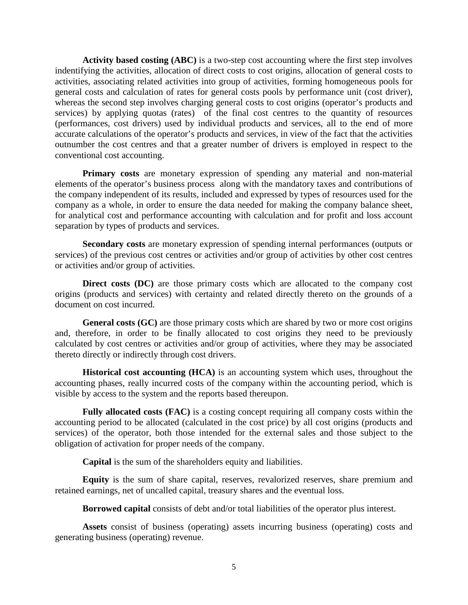**Activity based costing (ABC)** is a two-step cost accounting where the first step involves indentifying the activities, allocation of direct costs to cost origins, allocation of general costs to activities, associating related activities into group of activities, forming homogeneous pools for general costs and calculation of rates for general costs pools by performance unit (cost driver), whereas the second step involves charging general costs to cost origins (operator's products and services) by applying quotas (rates) of the final cost centres to the quantity of resources (performances, cost drivers) used by individual products and services, all to the end of more accurate calculations of the operator's products and services, in view of the fact that the activities outnumber the cost centres and that a greater number of drivers is employed in respect to the conventional cost accounting.

**Primary costs** are monetary expression of spending any material and non-material elements of the operator's business process along with the mandatory taxes and contributions of the company independent of its results, included and expressed by types of resources used for the company as a whole, in order to ensure the data needed for making the company balance sheet, for analytical cost and performance accounting with calculation and for profit and loss account separation by types of products and services.

**Secondary costs** are monetary expression of spending internal performances (outputs or services) of the previous cost centres or activities and/or group of activities by other cost centres or activities and/or group of activities.

**Direct costs (DC)** are those primary costs which are allocated to the company cost origins (products and services) with certainty and related directly thereto on the grounds of a document on cost incurred.

**General costs (GC)** are those primary costs which are shared by two or more cost origins and, therefore, in order to be finally allocated to cost origins they need to be previously calculated by cost centres or activities and/or group of activities, where they may be associated thereto directly or indirectly through cost drivers.

**Historical cost accounting (HCA)** is an accounting system which uses, throughout the accounting phases, really incurred costs of the company within the accounting period, which is visible by access to the system and the reports based thereupon.

**Fully allocated costs (FAC)** is a costing concept requiring all company costs within the accounting period to be allocated (calculated in the cost price) by all cost origins (products and services) of the operator, both those intended for the external sales and those subject to the obligation of activation for proper needs of the company.

**Capital** is the sum of the shareholders equity and liabilities.

**Equity** is the sum of share capital, reserves, revalorized reserves, share premium and retained earnings, net of uncalled capital, treasury shares and the eventual loss.

**Borrowed capital** consists of debt and/or total liabilities of the operator plus interest.

**Assets** consist of business (operating) assets incurring business (operating) costs and generating business (operating) revenue.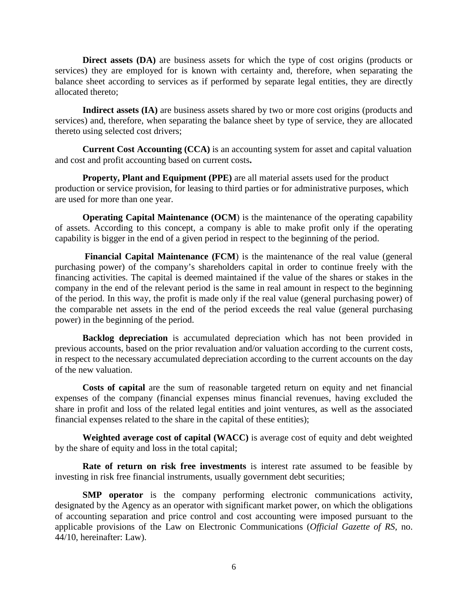**Direct assets (DA)** are business assets for which the type of cost origins (products or services) they are employed for is known with certainty and, therefore, when separating the balance sheet according to services as if performed by separate legal entities, they are directly allocated thereto;

**Indirect assets (IA)** are business assets shared by two or more cost origins (products and services) and, therefore, when separating the balance sheet by type of service, they are allocated thereto using selected cost drivers;

**Current Cost Accounting (CCA)** is an accounting system for asset and capital valuation and cost and profit accounting based on current costs**.** 

**Property, Plant and Equipment (PPE)** are all material assets used for the product production or service provision, for leasing to third parties or for administrative purposes, which are used for more than one year.

**Operating Capital Maintenance (OCM)** is the maintenance of the operating capability of assets. According to this concept, a company is able to make profit only if the operating capability is bigger in the end of a given period in respect to the beginning of the period.

**Financial Capital Maintenance (FCM**) is the maintenance of the real value (general purchasing power) of the company's shareholders capital in order to continue freely with the financing activities. The capital is deemed maintained if the value of the shares or stakes in the company in the end of the relevant period is the same in real amount in respect to the beginning of the period. In this way, the profit is made only if the real value (general purchasing power) of the comparable net assets in the end of the period exceeds the real value (general purchasing power) in the beginning of the period.

**Backlog depreciation** is accumulated depreciation which has not been provided in previous accounts, based on the prior revaluation and/or valuation according to the current costs, in respect to the necessary accumulated depreciation according to the current accounts on the day of the new valuation.

**Costs of capital** are the sum of reasonable targeted return on equity and net financial expenses of the company (financial expenses minus financial revenues, having excluded the share in profit and loss of the related legal entities and joint ventures, as well as the associated financial expenses related to the share in the capital of these entities);

**Weighted average cost of capital (WACC)** is average cost of equity and debt weighted by the share of equity and loss in the total capital;

**Rate of return on risk free investments** is interest rate assumed to be feasible by investing in risk free financial instruments, usually government debt securities;

**SMP** operator is the company performing electronic communications activity, designated by the Agency as an operator with significant market power, on which the obligations of accounting separation and price control and cost accounting were imposed pursuant to the applicable provisions of the Law on Electronic Communications (*Official Gazette of RS*, no. 44/10, hereinafter: Law).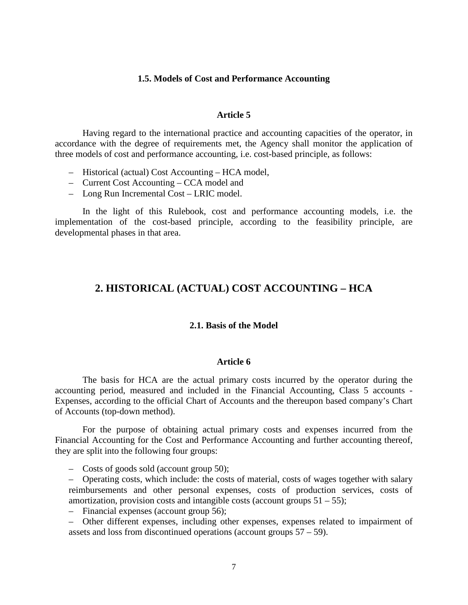#### **1.5. Models of Cost and Performance Accounting**

#### **Article 5**

Having regard to the international practice and accounting capacities of the operator, in accordance with the degree of requirements met, the Agency shall monitor the application of three models of cost and performance accounting, i.e. cost-based principle, as follows:

- Historical (actual) Cost Accounting HCA model,
- Current Cost Accounting CCA model and
- Long Run Incremental Cost LRIC model.

In the light of this Rulebook, cost and performance accounting models, i.e. the implementation of the cost-based principle, according to the feasibility principle, are developmental phases in that area.

# **2. HISTORICAL (ACTUAL) COST ACCOUNTING – HCA**

#### **2.1. Basis of the Model**

#### **Article 6**

The basis for HCA are the actual primary costs incurred by the operator during the accounting period, measured and included in the Financial Accounting, Class 5 accounts - Expenses, according to the official Chart of Accounts and the thereupon based company's Chart of Accounts (top-down method).

For the purpose of obtaining actual primary costs and expenses incurred from the Financial Accounting for the Cost and Performance Accounting and further accounting thereof, they are split into the following four groups:

– Costs of goods sold (account group 50);

– Operating costs, which include: the costs of material, costs of wages together with salary reimbursements and other personal expenses, costs of production services, costs of amortization, provision costs and intangible costs (account groups  $51 - 55$ );

– Financial expenses (account group 56);

– Other different expenses, including other expenses, expenses related to impairment of assets and loss from discontinued operations (account groups 57 – 59).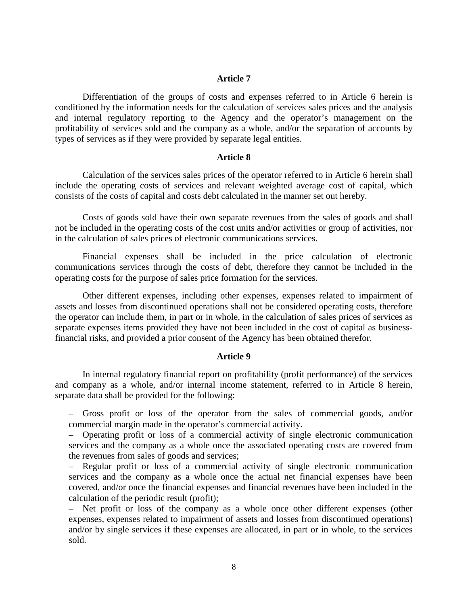#### **Article 7**

Differentiation of the groups of costs and expenses referred to in Article 6 herein is conditioned by the information needs for the calculation of services sales prices and the analysis and internal regulatory reporting to the Agency and the operator's management on the profitability of services sold and the company as a whole, and/or the separation of accounts by types of services as if they were provided by separate legal entities.

#### **Article 8**

Calculation of the services sales prices of the operator referred to in Article 6 herein shall include the operating costs of services and relevant weighted average cost of capital, which consists of the costs of capital and costs debt calculated in the manner set out hereby.

Costs of goods sold have their own separate revenues from the sales of goods and shall not be included in the operating costs of the cost units and/or activities or group of activities, nor in the calculation of sales prices of electronic communications services.

Financial expenses shall be included in the price calculation of electronic communications services through the costs of debt, therefore they cannot be included in the operating costs for the purpose of sales price formation for the services.

Other different expenses, including other expenses, expenses related to impairment of assets and losses from discontinued operations shall not be considered operating costs, therefore the operator can include them, in part or in whole, in the calculation of sales prices of services as separate expenses items provided they have not been included in the cost of capital as businessfinancial risks, and provided a prior consent of the Agency has been obtained therefor.

#### **Article 9**

In internal regulatory financial report on profitability (profit performance) of the services and company as a whole, and/or internal income statement, referred to in Article 8 herein, separate data shall be provided for the following:

– Gross profit or loss of the operator from the sales of commercial goods, and/or commercial margin made in the operator's commercial activity.

– Operating profit or loss of a commercial activity of single electronic communication services and the company as a whole once the associated operating costs are covered from the revenues from sales of goods and services;

– Regular profit or loss of a commercial activity of single electronic communication services and the company as a whole once the actual net financial expenses have been covered, and/or once the financial expenses and financial revenues have been included in the calculation of the periodic result (profit);

– Net profit or loss of the company as a whole once other different expenses (other expenses, expenses related to impairment of assets and losses from discontinued operations) and/or by single services if these expenses are allocated, in part or in whole, to the services sold.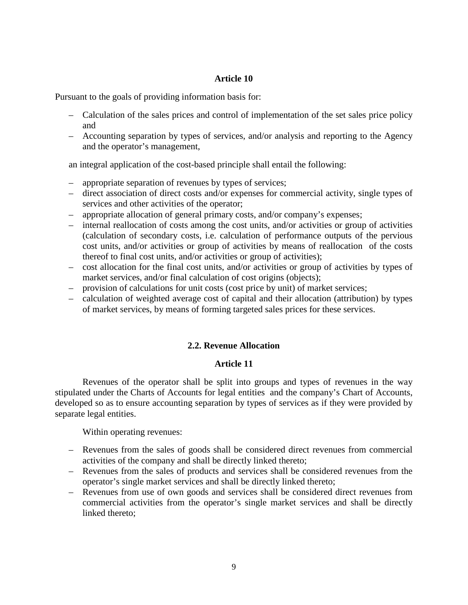### **Article 10**

Pursuant to the goals of providing information basis for:

- Calculation of the sales prices and control of implementation of the set sales price policy and
- Accounting separation by types of services, and/or analysis and reporting to the Agency and the operator's management,

an integral application of the cost-based principle shall entail the following:

- appropriate separation of revenues by types of services;
- direct association of direct costs and/or expenses for commercial activity, single types of services and other activities of the operator;
- appropriate allocation of general primary costs, and/or company's expenses;
- internal reallocation of costs among the cost units, and/or activities or group of activities (calculation of secondary costs, i.e. calculation of performance outputs of the pervious cost units, and/or activities or group of activities by means of reallocation of the costs thereof to final cost units, and/or activities or group of activities);
- cost allocation for the final cost units, and/or activities or group of activities by types of market services, and/or final calculation of cost origins (objects);
- provision of calculations for unit costs (cost price by unit) of market services;
- calculation of weighted average cost of capital and their allocation (attribution) by types of market services, by means of forming targeted sales prices for these services.

# **2.2. Revenue Allocation**

# **Article 11**

Revenues of the operator shall be split into groups and types of revenues in the way stipulated under the Charts of Accounts for legal entities and the company's Chart of Accounts, developed so as to ensure accounting separation by types of services as if they were provided by separate legal entities.

Within operating revenues:

- Revenues from the sales of goods shall be considered direct revenues from commercial activities of the company and shall be directly linked thereto;
- Revenues from the sales of products and services shall be considered revenues from the operator's single market services and shall be directly linked thereto;
- Revenues from use of own goods and services shall be considered direct revenues from commercial activities from the operator's single market services and shall be directly linked thereto;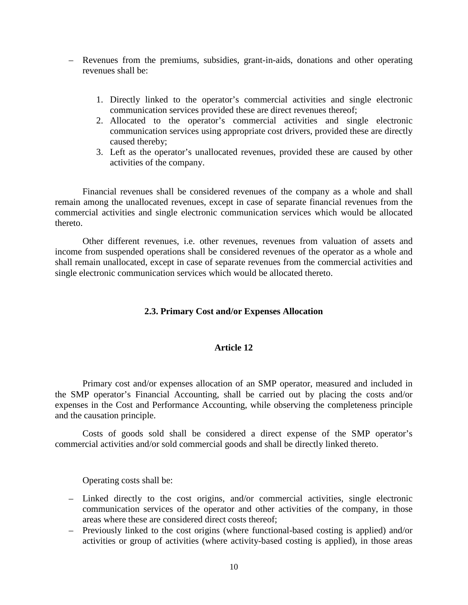- Revenues from the premiums, subsidies, grant-in-aids, donations and other operating revenues shall be:
	- 1. Directly linked to the operator's commercial activities and single electronic communication services provided these are direct revenues thereof;
	- 2. Allocated to the operator's commercial activities and single electronic communication services using appropriate cost drivers, provided these are directly caused thereby;
	- 3. Left as the operator's unallocated revenues, provided these are caused by other activities of the company.

Financial revenues shall be considered revenues of the company as a whole and shall remain among the unallocated revenues, except in case of separate financial revenues from the commercial activities and single electronic communication services which would be allocated thereto.

Other different revenues, i.e. other revenues, revenues from valuation of assets and income from suspended operations shall be considered revenues of the operator as a whole and shall remain unallocated, except in case of separate revenues from the commercial activities and single electronic communication services which would be allocated thereto.

# **2.3. Primary Cost and/or Expenses Allocation**

#### **Article 12**

Primary cost and/or expenses allocation of an SMP operator, measured and included in the SMP operator's Financial Accounting, shall be carried out by placing the costs and/or expenses in the Cost and Performance Accounting, while observing the completeness principle and the causation principle.

Costs of goods sold shall be considered a direct expense of the SMP operator's commercial activities and/or sold commercial goods and shall be directly linked thereto.

Operating costs shall be:

- Linked directly to the cost origins, and/or commercial activities, single electronic communication services of the operator and other activities of the company, in those areas where these are considered direct costs thereof;
- Previously linked to the cost origins (where functional-based costing is applied) and/or activities or group of activities (where activity-based costing is applied), in those areas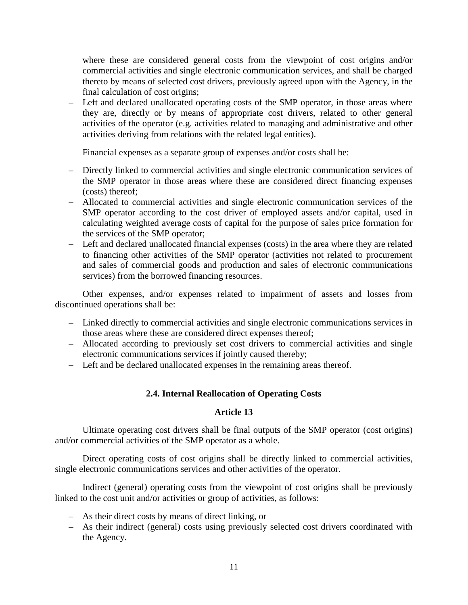where these are considered general costs from the viewpoint of cost origins and/or commercial activities and single electronic communication services, and shall be charged thereto by means of selected cost drivers, previously agreed upon with the Agency, in the final calculation of cost origins;

– Left and declared unallocated operating costs of the SMP operator, in those areas where they are, directly or by means of appropriate cost drivers, related to other general activities of the operator (e.g. activities related to managing and administrative and other activities deriving from relations with the related legal entities).

Financial expenses as a separate group of expenses and/or costs shall be:

- Directly linked to commercial activities and single electronic communication services of the SMP operator in those areas where these are considered direct financing expenses (costs) thereof;
- Allocated to commercial activities and single electronic communication services of the SMP operator according to the cost driver of employed assets and/or capital, used in calculating weighted average costs of capital for the purpose of sales price formation for the services of the SMP operator;
- Left and declared unallocated financial expenses (costs) in the area where they are related to financing other activities of the SMP operator (activities not related to procurement and sales of commercial goods and production and sales of electronic communications services) from the borrowed financing resources.

Other expenses, and/or expenses related to impairment of assets and losses from discontinued operations shall be:

- Linked directly to commercial activities and single electronic communications services in those areas where these are considered direct expenses thereof;
- Allocated according to previously set cost drivers to commercial activities and single electronic communications services if jointly caused thereby;
- Left and be declared unallocated expenses in the remaining areas thereof.

# **2.4. Internal Reallocation of Operating Costs**

# **Article 13**

Ultimate operating cost drivers shall be final outputs of the SMP operator (cost origins) and/or commercial activities of the SMP operator as a whole.

Direct operating costs of cost origins shall be directly linked to commercial activities, single electronic communications services and other activities of the operator.

Indirect (general) operating costs from the viewpoint of cost origins shall be previously linked to the cost unit and/or activities or group of activities, as follows:

- As their direct costs by means of direct linking, or
- As their indirect (general) costs using previously selected cost drivers coordinated with the Agency.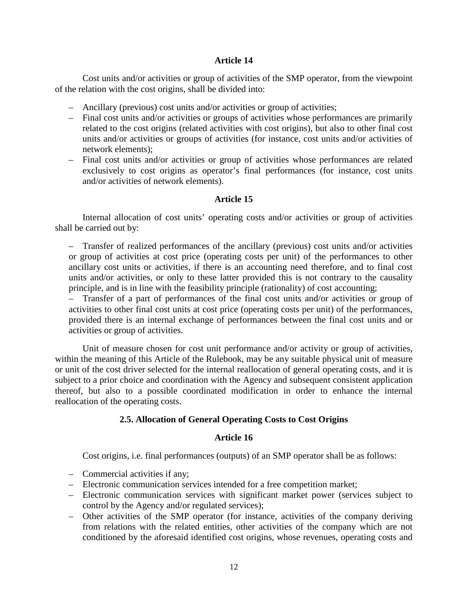# **Article 14**

Cost units and/or activities or group of activities of the SMP operator, from the viewpoint of the relation with the cost origins, shall be divided into:

- Ancillary (previous) cost units and/or activities or group of activities;
- Final cost units and/or activities or groups of activities whose performances are primarily related to the cost origins (related activities with cost origins), but also to other final cost units and/or activities or groups of activities (for instance, cost units and/or activities of network elements);
- Final cost units and/or activities or group of activities whose performances are related exclusively to cost origins as operator's final performances (for instance, cost units and/or activities of network elements).

# **Article 15**

Internal allocation of cost units' operating costs and/or activities or group of activities shall be carried out by:

– Transfer of realized performances of the ancillary (previous) cost units and/or activities or group of activities at cost price (operating costs per unit) of the performances to other ancillary cost units or activities, if there is an accounting need therefore, and to final cost units and/or activities, or only to these latter provided this is not contrary to the causality principle, and is in line with the feasibility principle (rationality) of cost accounting;

– Transfer of a part of performances of the final cost units and/or activities or group of activities to other final cost units at cost price (operating costs per unit) of the performances, provided there is an internal exchange of performances between the final cost units and or activities or group of activities.

Unit of measure chosen for cost unit performance and/or activity or group of activities, within the meaning of this Article of the Rulebook, may be any suitable physical unit of measure or unit of the cost driver selected for the internal reallocation of general operating costs, and it is subject to a prior choice and coordination with the Agency and subsequent consistent application thereof, but also to a possible coordinated modification in order to enhance the internal reallocation of the operating costs.

# **2.5. Allocation of General Operating Costs to Cost Origins**

# **Article 16**

Cost origins, i.e. final performances (outputs) of an SMP operator shall be as follows:

- Commercial activities if any;
- Electronic communication services intended for a free competition market;
- Electronic communication services with significant market power (services subject to control by the Agency and/or regulated services);
- Other activities of the SMP operator (for instance, activities of the company deriving from relations with the related entities, other activities of the company which are not conditioned by the aforesaid identified cost origins, whose revenues, operating costs and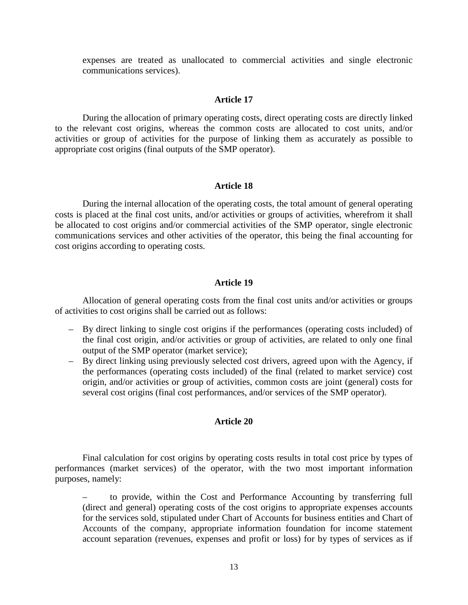expenses are treated as unallocated to commercial activities and single electronic communications services).

#### **Article 17**

During the allocation of primary operating costs, direct operating costs are directly linked to the relevant cost origins, whereas the common costs are allocated to cost units, and/or activities or group of activities for the purpose of linking them as accurately as possible to appropriate cost origins (final outputs of the SMP operator).

#### **Article 18**

During the internal allocation of the operating costs, the total amount of general operating costs is placed at the final cost units, and/or activities or groups of activities, wherefrom it shall be allocated to cost origins and/or commercial activities of the SMP operator, single electronic communications services and other activities of the operator, this being the final accounting for cost origins according to operating costs.

#### **Article 19**

Allocation of general operating costs from the final cost units and/or activities or groups of activities to cost origins shall be carried out as follows:

- By direct linking to single cost origins if the performances (operating costs included) of the final cost origin, and/or activities or group of activities, are related to only one final output of the SMP operator (market service);
- By direct linking using previously selected cost drivers, agreed upon with the Agency, if the performances (operating costs included) of the final (related to market service) cost origin, and/or activities or group of activities, common costs are joint (general) costs for several cost origins (final cost performances, and/or services of the SMP operator).

### **Article 20**

Final calculation for cost origins by operating costs results in total cost price by types of performances (market services) of the operator, with the two most important information purposes, namely:

– to provide, within the Cost and Performance Accounting by transferring full (direct and general) operating costs of the cost origins to appropriate expenses accounts for the services sold, stipulated under Chart of Accounts for business entities and Chart of Accounts of the company, appropriate information foundation for income statement account separation (revenues, expenses and profit or loss) for by types of services as if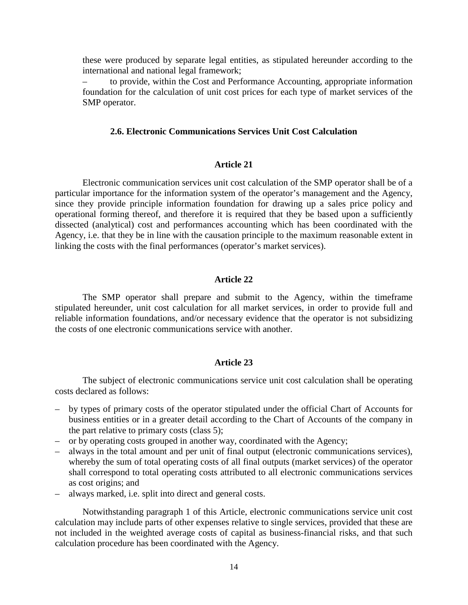these were produced by separate legal entities, as stipulated hereunder according to the international and national legal framework;

– to provide, within the Cost and Performance Accounting, appropriate information foundation for the calculation of unit cost prices for each type of market services of the SMP operator.

## **2.6. Electronic Communications Services Unit Cost Calculation**

#### **Article 21**

Electronic communication services unit cost calculation of the SMP operator shall be of a particular importance for the information system of the operator's management and the Agency, since they provide principle information foundation for drawing up a sales price policy and operational forming thereof, and therefore it is required that they be based upon a sufficiently dissected (analytical) cost and performances accounting which has been coordinated with the Agency, i.e. that they be in line with the causation principle to the maximum reasonable extent in linking the costs with the final performances (operator's market services).

#### **Article 22**

The SMP operator shall prepare and submit to the Agency, within the timeframe stipulated hereunder, unit cost calculation for all market services, in order to provide full and reliable information foundations, and/or necessary evidence that the operator is not subsidizing the costs of one electronic communications service with another.

#### **Article 23**

The subject of electronic communications service unit cost calculation shall be operating costs declared as follows:

- by types of primary costs of the operator stipulated under the official Chart of Accounts for business entities or in a greater detail according to the Chart of Accounts of the company in the part relative to primary costs (class 5);
- or by operating costs grouped in another way, coordinated with the Agency;
- always in the total amount and per unit of final output (electronic communications services), whereby the sum of total operating costs of all final outputs (market services) of the operator shall correspond to total operating costs attributed to all electronic communications services as cost origins; and
- always marked, i.e. split into direct and general costs.

Notwithstanding paragraph 1 of this Article, electronic communications service unit cost calculation may include parts of other expenses relative to single services, provided that these are not included in the weighted average costs of capital as business-financial risks, and that such calculation procedure has been coordinated with the Agency.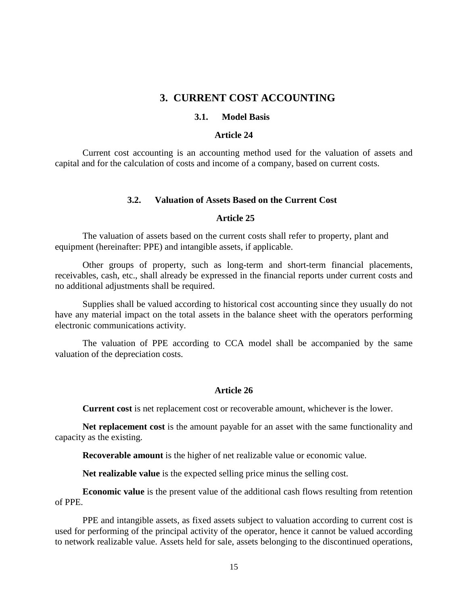# **3. CURRENT COST ACCOUNTING**

## **3.1. Model Basis**

#### **Article 24**

Current cost accounting is an accounting method used for the valuation of assets and capital and for the calculation of costs and income of a company, based on current costs.

#### **3.2. Valuation of Assets Based on the Current Cost**

#### **Article 25**

The valuation of assets based on the current costs shall refer to property, plant and equipment (hereinafter: PPE) and intangible assets, if applicable.

Other groups of property, such as long-term and short-term financial placements, receivables, cash, etc., shall already be expressed in the financial reports under current costs and no additional adjustments shall be required.

Supplies shall be valued according to historical cost accounting since they usually do not have any material impact on the total assets in the balance sheet with the operators performing electronic communications activity.

The valuation of PPE according to CCA model shall be accompanied by the same valuation of the depreciation costs.

# **Article 26**

**Current cost** is net replacement cost or recoverable amount, whichever is the lower.

Net replacement cost is the amount payable for an asset with the same functionality and capacity as the existing.

**Recoverable amount** is the higher of net realizable value or economic value.

**Net realizable value** is the expected selling price minus the selling cost.

**Economic value** is the present value of the additional cash flows resulting from retention of PPE.

PPE and intangible assets, as fixed assets subject to valuation according to current cost is used for performing of the principal activity of the operator, hence it cannot be valued according to network realizable value. Assets held for sale, assets belonging to the discontinued operations,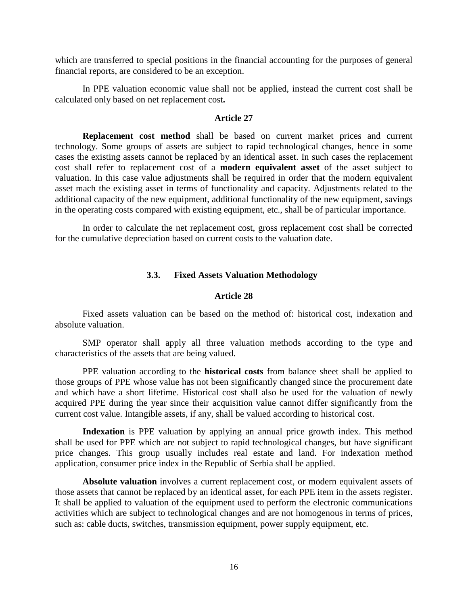which are transferred to special positions in the financial accounting for the purposes of general financial reports, are considered to be an exception.

In PPE valuation economic value shall not be applied, instead the current cost shall be calculated only based on net replacement cost**.**

### **Article 27**

**Replacement cost method** shall be based on current market prices and current technology. Some groups of assets are subject to rapid technological changes, hence in some cases the existing assets cannot be replaced by an identical asset. In such cases the replacement cost shall refer to replacement cost of a **modern equivalent asset** of the asset subject to valuation. In this case value adjustments shall be required in order that the modern equivalent asset mach the existing asset in terms of functionality and capacity. Adjustments related to the additional capacity of the new equipment, additional functionality of the new equipment, savings in the operating costs compared with existing equipment, etc., shall be of particular importance.

In order to calculate the net replacement cost, gross replacement cost shall be corrected for the cumulative depreciation based on current costs to the valuation date.

#### **3.3. Fixed Assets Valuation Methodology**

#### **Article 28**

Fixed assets valuation can be based on the method of: historical cost, indexation and absolute valuation.

SMP operator shall apply all three valuation methods according to the type and characteristics of the assets that are being valued.

PPE valuation according to the **historical costs** from balance sheet shall be applied to those groups of PPE whose value has not been significantly changed since the procurement date and which have a short lifetime. Historical cost shall also be used for the valuation of newly acquired PPE during the year since their acquisition value cannot differ significantly from the current cost value. Intangible assets, if any, shall be valued according to historical cost.

**Indexation** is PPE valuation by applying an annual price growth index. This method shall be used for PPE which are not subject to rapid technological changes, but have significant price changes. This group usually includes real estate and land. For indexation method application, consumer price index in the Republic of Serbia shall be applied.

**Absolute valuation** involves a current replacement cost, or modern equivalent assets of those assets that cannot be replaced by an identical asset, for each PPE item in the assets register. It shall be applied to valuation of the equipment used to perform the electronic communications activities which are subject to technological changes and are not homogenous in terms of prices, such as: cable ducts, switches, transmission equipment, power supply equipment, etc.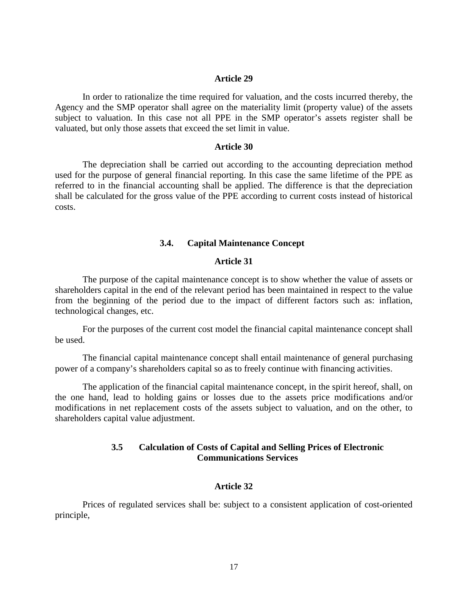#### **Article 29**

In order to rationalize the time required for valuation, and the costs incurred thereby, the Agency and the SMP operator shall agree on the materiality limit (property value) of the assets subject to valuation. In this case not all PPE in the SMP operator's assets register shall be valuated, but only those assets that exceed the set limit in value.

#### **Article 30**

The depreciation shall be carried out according to the accounting depreciation method used for the purpose of general financial reporting. In this case the same lifetime of the PPE as referred to in the financial accounting shall be applied. The difference is that the depreciation shall be calculated for the gross value of the PPE according to current costs instead of historical costs.

#### **3.4. Capital Maintenance Concept**

#### **Article 31**

The purpose of the capital maintenance concept is to show whether the value of assets or shareholders capital in the end of the relevant period has been maintained in respect to the value from the beginning of the period due to the impact of different factors such as: inflation, technological changes, etc.

For the purposes of the current cost model the financial capital maintenance concept shall be used.

The financial capital maintenance concept shall entail maintenance of general purchasing power of a company's shareholders capital so as to freely continue with financing activities.

The application of the financial capital maintenance concept, in the spirit hereof, shall, on the one hand, lead to holding gains or losses due to the assets price modifications and/or modifications in net replacement costs of the assets subject to valuation, and on the other, to shareholders capital value adjustment.

# **3.5 Calculation of Costs of Capital and Selling Prices of Electronic Communications Services**

#### **Article 32**

Prices of regulated services shall be: subject to a consistent application of cost-oriented principle,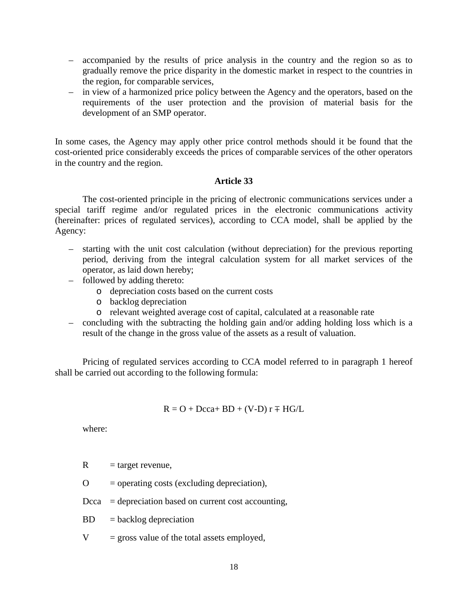- accompanied by the results of price analysis in the country and the region so as to gradually remove the price disparity in the domestic market in respect to the countries in the region, for comparable services,
- in view of a harmonized price policy between the Agency and the operators, based on the requirements of the user protection and the provision of material basis for the development of an SMP operator.

In some cases, the Agency may apply other price control methods should it be found that the cost-oriented price considerably exceeds the prices of comparable services of the other operators in the country and the region.

### **Article 33**

The cost-oriented principle in the pricing of electronic communications services under a special tariff regime and/or regulated prices in the electronic communications activity (hereinafter: prices of regulated services), according to CCA model, shall be applied by the Agency:

- starting with the unit cost calculation (without depreciation) for the previous reporting period, deriving from the integral calculation system for all market services of the operator, as laid down hereby;
- followed by adding thereto:
	- o depreciation costs based on the current costs
	- o backlog depreciation
	- o relevant weighted average cost of capital, calculated at a reasonable rate
- concluding with the subtracting the holding gain and/or adding holding loss which is a result of the change in the gross value of the assets as a result of valuation.

Pricing of regulated services according to CCA model referred to in paragraph 1 hereof shall be carried out according to the following formula:

$$
R = O + Dcca + BD + (V-D) r \mp HG/L
$$

where:

 $R = \text{target revenue},$ 

 $\Omega$  = operating costs (excluding depreciation),

- $Dcca = depreciation based on current cost accounting,$
- $BD = backlog depreciation$
- $V =$  gross value of the total assets employed,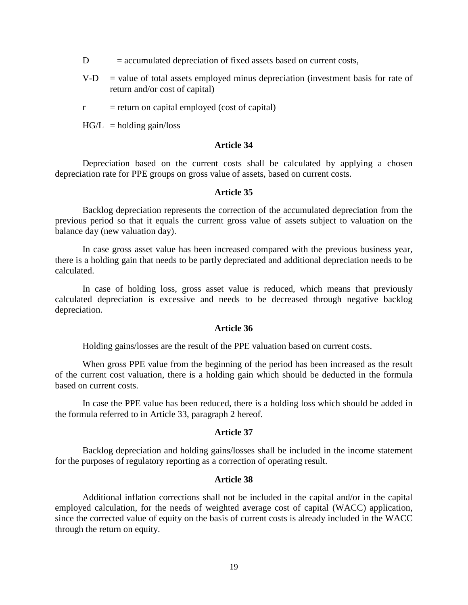- $D =$  accumulated depreciation of fixed assets based on current costs,
- $V-D$  = value of total assets employed minus depreciation (investment basis for rate of return and/or cost of capital)
- $r =$  return on capital employed (cost of capital)

 $HG/L$  = holding gain/loss

#### **Article 34**

Depreciation based on the current costs shall be calculated by applying a chosen depreciation rate for PPE groups on gross value of assets, based on current costs.

#### **Article 35**

Backlog depreciation represents the correction of the accumulated depreciation from the previous period so that it equals the current gross value of assets subject to valuation on the balance day (new valuation day).

In case gross asset value has been increased compared with the previous business year, there is a holding gain that needs to be partly depreciated and additional depreciation needs to be calculated.

In case of holding loss, gross asset value is reduced, which means that previously calculated depreciation is excessive and needs to be decreased through negative backlog depreciation.

#### **Article 36**

Holding gains/losses are the result of the PPE valuation based on current costs.

When gross PPE value from the beginning of the period has been increased as the result of the current cost valuation, there is a holding gain which should be deducted in the formula based on current costs.

In case the PPE value has been reduced, there is a holding loss which should be added in the formula referred to in Article 33, paragraph 2 hereof.

#### **Article 37**

Backlog depreciation and holding gains/losses shall be included in the income statement for the purposes of regulatory reporting as a correction of operating result.

#### **Article 38**

Additional inflation corrections shall not be included in the capital and/or in the capital employed calculation, for the needs of weighted average cost of capital (WACC) application, since the corrected value of equity on the basis of current costs is already included in the WACC through the return on equity.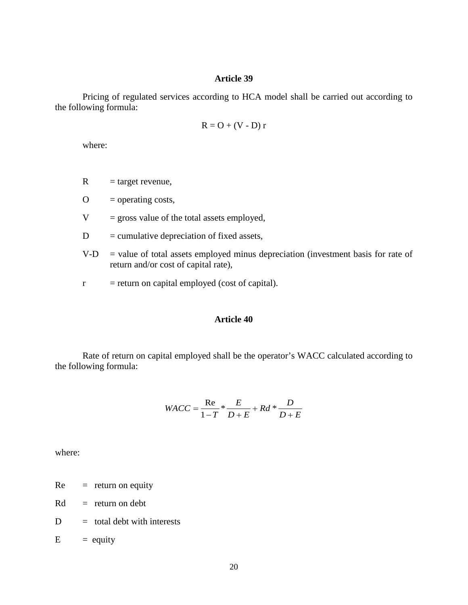#### **Article 39**

Pricing of regulated services according to HCA model shall be carried out according to the following formula:

$$
R = O + (V - D) r
$$

where:

 $R = \text{target revenue},$ 

 $O =$  operating costs,

 $V =$  gross value of the total assets employed,

- $D =$  cumulative depreciation of fixed assets,
- $V-D$  = value of total assets employed minus depreciation (investment basis for rate of return and/or cost of capital rate),
- $r =$  return on capital employed (cost of capital).

# **Article 40**

Rate of return on capital employed shall be the operator's WACC calculated according to the following formula:

$$
WACC = \frac{\text{Re}}{1 - T} * \frac{E}{D + E} + Rd * \frac{D}{D + E}
$$

where:

 $Re =$  return on equity

 $Rd = return on debt$ 

- $D =$  total debt with interests
- $E$  = equity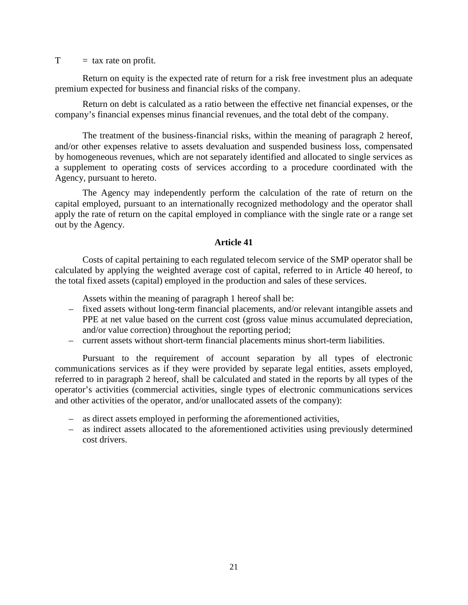$T = \tan \theta$  rate on profit.

Return on equity is the expected rate of return for a risk free investment plus an adequate premium expected for business and financial risks of the company.

Return on debt is calculated as a ratio between the effective net financial expenses, or the company's financial expenses minus financial revenues, and the total debt of the company.

The treatment of the business-financial risks, within the meaning of paragraph 2 hereof, and/or other expenses relative to assets devaluation and suspended business loss, compensated by homogeneous revenues, which are not separately identified and allocated to single services as a supplement to operating costs of services according to a procedure coordinated with the Agency, pursuant to hereto.

The Agency may independently perform the calculation of the rate of return on the capital employed, pursuant to an internationally recognized methodology and the operator shall apply the rate of return on the capital employed in compliance with the single rate or a range set out by the Agency.

#### **Article 41**

Costs of capital pertaining to each regulated telecom service of the SMP operator shall be calculated by applying the weighted average cost of capital, referred to in Article 40 hereof, to the total fixed assets (capital) employed in the production and sales of these services.

Assets within the meaning of paragraph 1 hereof shall be:

- fixed assets without long-term financial placements, and/or relevant intangible assets and PPE at net value based on the current cost (gross value minus accumulated depreciation, and/or value correction) throughout the reporting period;
- current assets without short-term financial placements minus short-term liabilities.

Pursuant to the requirement of account separation by all types of electronic communications services as if they were provided by separate legal entities, assets employed, referred to in paragraph 2 hereof, shall be calculated and stated in the reports by all types of the operator's activities (commercial activities, single types of electronic communications services and other activities of the operator, and/or unallocated assets of the company):

- as direct assets employed in performing the aforementioned activities,
- as indirect assets allocated to the aforementioned activities using previously determined cost drivers.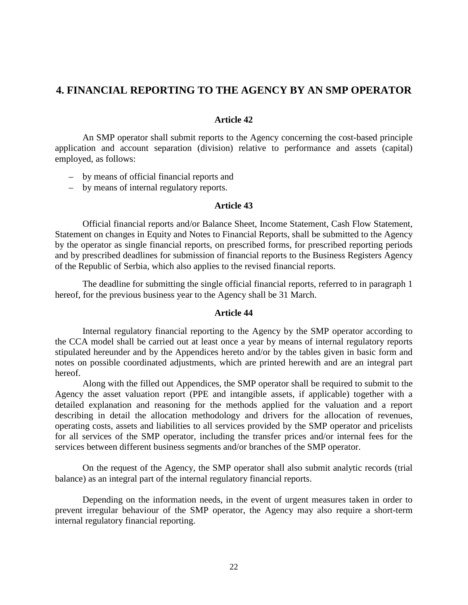# **4. FINANCIAL REPORTING TO THE AGENCY BY AN SMP OPERATOR**

#### **Article 42**

An SMP operator shall submit reports to the Agency concerning the cost-based principle application and account separation (division) relative to performance and assets (capital) employed, as follows:

- by means of official financial reports and
- by means of internal regulatory reports.

## **Article 43**

Official financial reports and/or Balance Sheet, Income Statement, Cash Flow Statement, Statement on changes in Equity and Notes to Financial Reports, shall be submitted to the Agency by the operator as single financial reports, on prescribed forms, for prescribed reporting periods and by prescribed deadlines for submission of financial reports to the Business Registers Agency of the Republic of Serbia, which also applies to the revised financial reports.

The deadline for submitting the single official financial reports, referred to in paragraph 1 hereof, for the previous business year to the Agency shall be 31 March.

#### **Article 44**

Internal regulatory financial reporting to the Agency by the SMP operator according to the CCA model shall be carried out at least once a year by means of internal regulatory reports stipulated hereunder and by the Appendices hereto and/or by the tables given in basic form and notes on possible coordinated adjustments, which are printed herewith and are an integral part hereof.

Along with the filled out Appendices, the SMP operator shall be required to submit to the Agency the asset valuation report (PPE and intangible assets, if applicable) together with a detailed explanation and reasoning for the methods applied for the valuation and a report describing in detail the allocation methodology and drivers for the allocation of revenues, operating costs, assets and liabilities to all services provided by the SMP operator and pricelists for all services of the SMP operator, including the transfer prices and/or internal fees for the services between different business segments and/or branches of the SMP operator.

On the request of the Agency, the SMP operator shall also submit analytic records (trial balance) as an integral part of the internal regulatory financial reports.

Depending on the information needs, in the event of urgent measures taken in order to prevent irregular behaviour of the SMP operator, the Agency may also require a short-term internal regulatory financial reporting.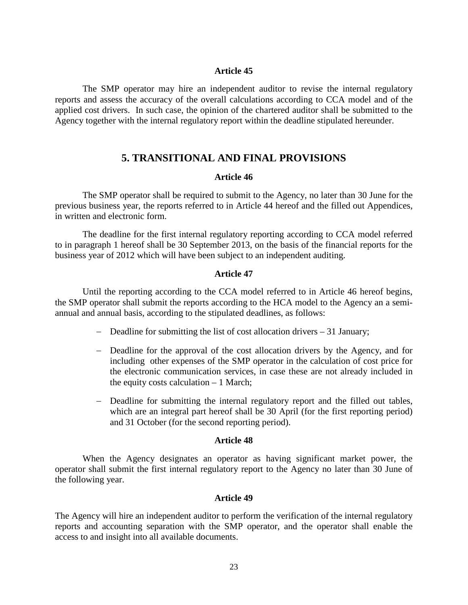#### **Article 45**

The SMP operator may hire an independent auditor to revise the internal regulatory reports and assess the accuracy of the overall calculations according to CCA model and of the applied cost drivers. In such case, the opinion of the chartered auditor shall be submitted to the Agency together with the internal regulatory report within the deadline stipulated hereunder.

# **5. TRANSITIONAL AND FINAL PROVISIONS**

#### **Article 46**

The SMP operator shall be required to submit to the Agency, no later than 30 June for the previous business year, the reports referred to in Article 44 hereof and the filled out Appendices, in written and electronic form.

The deadline for the first internal regulatory reporting according to CCA model referred to in paragraph 1 hereof shall be 30 September 2013, on the basis of the financial reports for the business year of 2012 which will have been subject to an independent auditing.

#### **Article 47**

Until the reporting according to the CCA model referred to in Article 46 hereof begins, the SMP operator shall submit the reports according to the HCA model to the Agency an a semiannual and annual basis, according to the stipulated deadlines, as follows:

- − Deadline for submitting the list of cost allocation drivers 31 January;
- − Deadline for the approval of the cost allocation drivers by the Agency, and for including other expenses of the SMP operator in the calculation of cost price for the electronic communication services, in case these are not already included in the equity costs calculation  $-1$  March;
- − Deadline for submitting the internal regulatory report and the filled out tables, which are an integral part hereof shall be 30 April (for the first reporting period) and 31 October (for the second reporting period).

#### **Article 48**

When the Agency designates an operator as having significant market power, the operator shall submit the first internal regulatory report to the Agency no later than 30 June of the following year.

### **Article 49**

The Agency will hire an independent auditor to perform the verification of the internal regulatory reports and accounting separation with the SMP operator, and the operator shall enable the access to and insight into all available documents.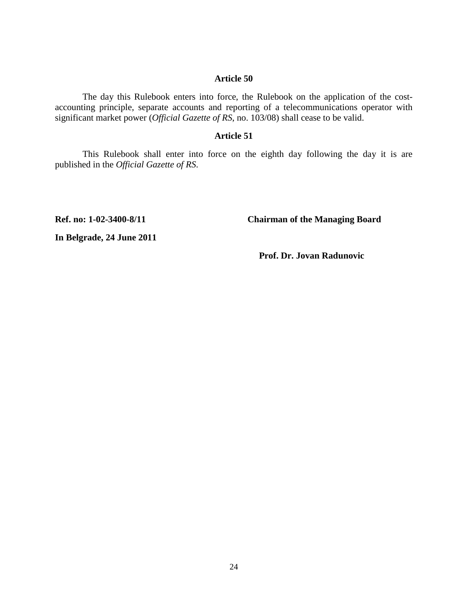#### **Article 50**

The day this Rulebook enters into force, the Rulebook on the application of the costaccounting principle, separate accounts and reporting of a telecommunications operator with significant market power (*Official Gazette of RS*, no. 103/08) shall cease to be valid.

### **Article 51**

This Rulebook shall enter into force on the eighth day following the day it is are published in the *Official Gazette of RS*.

**Ref. no: 1-02-3400-8/11 Chairman of the Managing Board**

**In Belgrade, 24 June 2011**

 **Prof. Dr. Jovan Radunovic**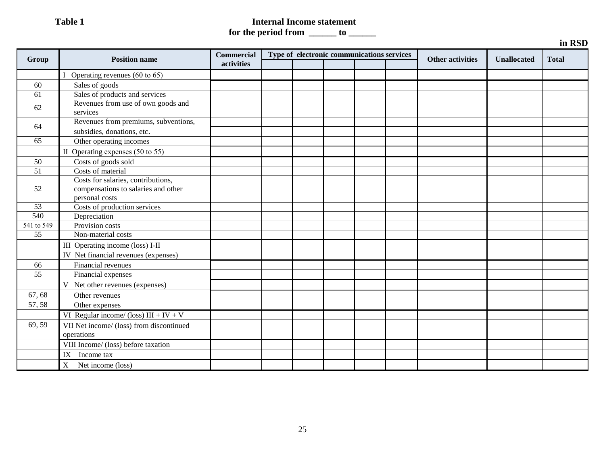# **Table 1** Internal Income statement

**for the period from \_\_\_\_\_\_ to \_\_\_\_\_\_** 

|            |                                                                                             |                   |  |                                            |                         |                    | in RSD       |
|------------|---------------------------------------------------------------------------------------------|-------------------|--|--------------------------------------------|-------------------------|--------------------|--------------|
| Group      | <b>Position name</b>                                                                        | <b>Commercial</b> |  | Type of electronic communications services | <b>Other activities</b> | <b>Unallocated</b> | <b>Total</b> |
|            |                                                                                             | activities        |  |                                            |                         |                    |              |
|            | I Operating revenues (60 to 65)                                                             |                   |  |                                            |                         |                    |              |
| 60         | Sales of goods                                                                              |                   |  |                                            |                         |                    |              |
| 61         | Sales of products and services                                                              |                   |  |                                            |                         |                    |              |
| 62         | Revenues from use of own goods and<br>services                                              |                   |  |                                            |                         |                    |              |
| 64         | Revenues from premiums, subventions,<br>subsidies, donations, etc.                          |                   |  |                                            |                         |                    |              |
| 65         | Other operating incomes                                                                     |                   |  |                                            |                         |                    |              |
|            | II Operating expenses $(50 \text{ to } 55)$                                                 |                   |  |                                            |                         |                    |              |
| 50         | Costs of goods sold                                                                         |                   |  |                                            |                         |                    |              |
| 51         | Costs of material                                                                           |                   |  |                                            |                         |                    |              |
| 52         | Costs for salaries, contributions,<br>compensations to salaries and other<br>personal costs |                   |  |                                            |                         |                    |              |
| 53         | Costs of production services                                                                |                   |  |                                            |                         |                    |              |
| 540        | Depreciation                                                                                |                   |  |                                            |                         |                    |              |
| 541 to 549 | Provision costs                                                                             |                   |  |                                            |                         |                    |              |
| 55         | Non-material costs                                                                          |                   |  |                                            |                         |                    |              |
|            | III Operating income (loss) I-II                                                            |                   |  |                                            |                         |                    |              |
|            | IV Net financial revenues (expenses)                                                        |                   |  |                                            |                         |                    |              |
| 66         | Financial revenues                                                                          |                   |  |                                            |                         |                    |              |
| 55         | Financial expenses                                                                          |                   |  |                                            |                         |                    |              |
|            | V Net other revenues (expenses)                                                             |                   |  |                                            |                         |                    |              |
| 67, 68     | Other revenues                                                                              |                   |  |                                            |                         |                    |              |
| 57, 58     | Other expenses                                                                              |                   |  |                                            |                         |                    |              |
|            | VI Regular income/ (loss) $III + IV + V$                                                    |                   |  |                                            |                         |                    |              |
| 69, 59     | VII Net income/ (loss) from discontinued<br>operations                                      |                   |  |                                            |                         |                    |              |
|            | VIII Income/ (loss) before taxation                                                         |                   |  |                                            |                         |                    |              |
|            | Income tax<br>IX                                                                            |                   |  |                                            |                         |                    |              |
|            | Net income (loss)<br>$X_{-}$                                                                |                   |  |                                            |                         |                    |              |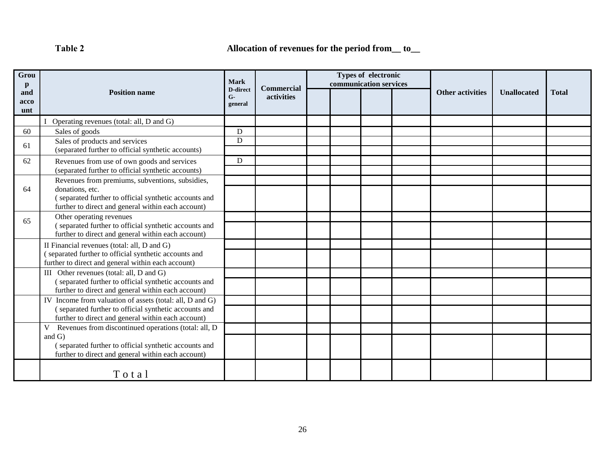**Таble 2 Allocation of revenues for the period from\_\_ to\_\_** 

| Grou<br>p          |                                                                                                             | Mark                               |                                 | communication services | Types of electronic |                         |                    |              |
|--------------------|-------------------------------------------------------------------------------------------------------------|------------------------------------|---------------------------------|------------------------|---------------------|-------------------------|--------------------|--------------|
| and<br>acco<br>unt | <b>Position name</b>                                                                                        | <b>D-direct</b><br>$G-$<br>general | <b>Commercial</b><br>activities |                        |                     | <b>Other activities</b> | <b>Unallocated</b> | <b>Total</b> |
|                    | Operating revenues (total: all, D and G)                                                                    |                                    |                                 |                        |                     |                         |                    |              |
| 60                 | Sales of goods                                                                                              | D                                  |                                 |                        |                     |                         |                    |              |
| 61                 | Sales of products and services<br>(separated further to official synthetic accounts)                        | D                                  |                                 |                        |                     |                         |                    |              |
| 62                 | Revenues from use of own goods and services                                                                 | D                                  |                                 |                        |                     |                         |                    |              |
|                    | (separated further to official synthetic accounts)                                                          |                                    |                                 |                        |                     |                         |                    |              |
|                    | Revenues from premiums, subventions, subsidies,                                                             |                                    |                                 |                        |                     |                         |                    |              |
| 64                 | donations, etc.                                                                                             |                                    |                                 |                        |                     |                         |                    |              |
|                    | (separated further to official synthetic accounts and<br>further to direct and general within each account) |                                    |                                 |                        |                     |                         |                    |              |
| 65                 | Other operating revenues                                                                                    |                                    |                                 |                        |                     |                         |                    |              |
|                    | (separated further to official synthetic accounts and<br>further to direct and general within each account) |                                    |                                 |                        |                     |                         |                    |              |
|                    | II Financial revenues (total: all, D and G)                                                                 |                                    |                                 |                        |                     |                         |                    |              |
|                    | (separated further to official synthetic accounts and<br>further to direct and general within each account) |                                    |                                 |                        |                     |                         |                    |              |
|                    | III Other revenues (total: all, D and G)                                                                    |                                    |                                 |                        |                     |                         |                    |              |
|                    | (separated further to official synthetic accounts and<br>further to direct and general within each account) |                                    |                                 |                        |                     |                         |                    |              |
|                    | IV Income from valuation of assets (total: all, D and G)                                                    |                                    |                                 |                        |                     |                         |                    |              |
|                    | (separated further to official synthetic accounts and<br>further to direct and general within each account) |                                    |                                 |                        |                     |                         |                    |              |
|                    | V<br>Revenues from discontinued operations (total: all, D                                                   |                                    |                                 |                        |                     |                         |                    |              |
|                    | and $G$ )                                                                                                   |                                    |                                 |                        |                     |                         |                    |              |
|                    | (separated further to official synthetic accounts and<br>further to direct and general within each account) |                                    |                                 |                        |                     |                         |                    |              |
|                    |                                                                                                             |                                    |                                 |                        |                     |                         |                    |              |
|                    | Total                                                                                                       |                                    |                                 |                        |                     |                         |                    |              |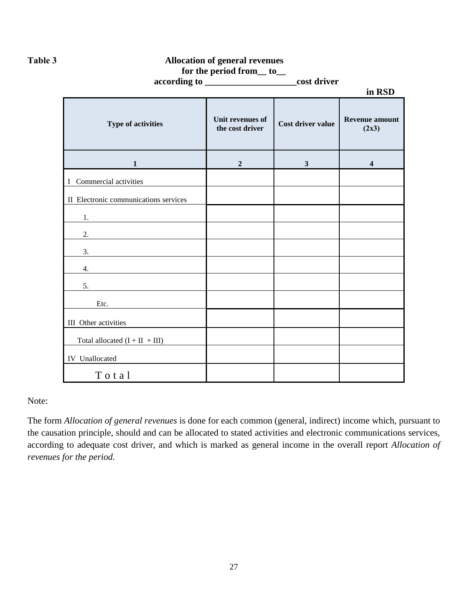**Таble 3 Allocation of general revenues**

|  | for the period from to |  |
|--|------------------------|--|
|--|------------------------|--|

|                                               | according to _______________________cost driver |                   |                                |
|-----------------------------------------------|-------------------------------------------------|-------------------|--------------------------------|
|                                               |                                                 |                   | in RSD                         |
| Type of activities                            | Unit revenues of<br>the cost driver             | Cost driver value | <b>Revenue amount</b><br>(2x3) |
| $\mathbf{1}$                                  | $\overline{2}$                                  | $\mathbf{3}$      | $\overline{\mathbf{4}}$        |
| I Commercial activities                       |                                                 |                   |                                |
| II Electronic communications services         |                                                 |                   |                                |
| 1.                                            |                                                 |                   |                                |
| 2.<br><u> 1989 - Johann Barbara, martxa a</u> |                                                 |                   |                                |
| 3.                                            |                                                 |                   |                                |
| 4.                                            |                                                 |                   |                                |
| 5.                                            |                                                 |                   |                                |
| $\text{Etc.}$                                 |                                                 |                   |                                |
| III Other activities                          |                                                 |                   |                                |
| Total allocated $(I + II + III)$              |                                                 |                   |                                |
| IV Unallocated                                |                                                 |                   |                                |
| Total                                         |                                                 |                   |                                |

Note:

The form *Allocation of general revenues* is done for each common (general, indirect) income which, pursuant to the causation principle, should and can be allocated to stated activities and electronic communications services, according to adequate cost driver, and which is marked as general income in the overall report *Allocation of revenues for the period.*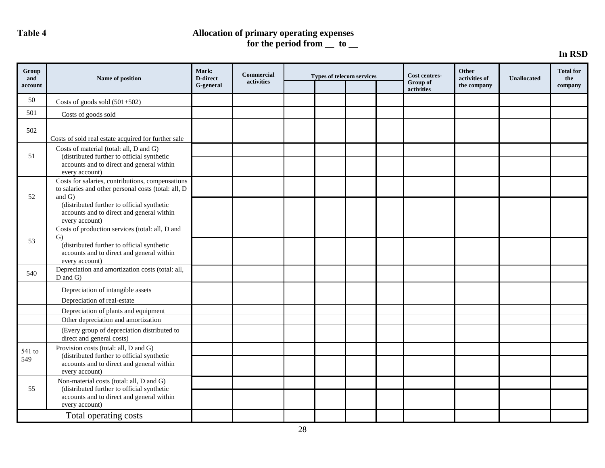# **Таble 4 Allocation of primary operating expenses for the period from \_\_ to \_\_**

# **In RSD**

| Group<br>and | Name of position                                                                                                  | Mark:<br><b>D-direct</b> | <b>Commercial</b> |  | <b>Types of telecom services</b> | Cost centres-          | Other<br>activities of | <b>Unallocated</b> | <b>Total for</b><br>the |
|--------------|-------------------------------------------------------------------------------------------------------------------|--------------------------|-------------------|--|----------------------------------|------------------------|------------------------|--------------------|-------------------------|
| account      |                                                                                                                   | G-general                | activities        |  |                                  | Group of<br>activities | the company            |                    | company                 |
| 50           | Costs of goods sold $(501+502)$                                                                                   |                          |                   |  |                                  |                        |                        |                    |                         |
| 501          | Costs of goods sold                                                                                               |                          |                   |  |                                  |                        |                        |                    |                         |
| 502          | Costs of sold real estate acquired for further sale                                                               |                          |                   |  |                                  |                        |                        |                    |                         |
| 51           | Costs of material (total: all, D and G)<br>(distributed further to official synthetic                             |                          |                   |  |                                  |                        |                        |                    |                         |
|              | accounts and to direct and general within<br>every account)                                                       |                          |                   |  |                                  |                        |                        |                    |                         |
| 52           | Costs for salaries, contributions, compensations<br>to salaries and other personal costs (total: all, D<br>and G) |                          |                   |  |                                  |                        |                        |                    |                         |
|              | (distributed further to official synthetic<br>accounts and to direct and general within<br>every account)         |                          |                   |  |                                  |                        |                        |                    |                         |
|              | Costs of production services (total: all, D and<br>$\mathcal{G}$                                                  |                          |                   |  |                                  |                        |                        |                    |                         |
| 53           | (distributed further to official synthetic<br>accounts and to direct and general within<br>every account)         |                          |                   |  |                                  |                        |                        |                    |                         |
| 540          | Depreciation and amortization costs (total: all,<br>$D$ and $G$ )                                                 |                          |                   |  |                                  |                        |                        |                    |                         |
|              | Depreciation of intangible assets                                                                                 |                          |                   |  |                                  |                        |                        |                    |                         |
|              | Depreciation of real-estate                                                                                       |                          |                   |  |                                  |                        |                        |                    |                         |
|              | Depreciation of plants and equipment<br>Other depreciation and amortization                                       |                          |                   |  |                                  |                        |                        |                    |                         |
|              | (Every group of depreciation distributed to<br>direct and general costs)                                          |                          |                   |  |                                  |                        |                        |                    |                         |
| 541 to       | Provision costs (total: all, D and G)                                                                             |                          |                   |  |                                  |                        |                        |                    |                         |
| 549          | (distributed further to official synthetic<br>accounts and to direct and general within<br>every account)         |                          |                   |  |                                  |                        |                        |                    |                         |
|              | Non-material costs (total: all, D and G)                                                                          |                          |                   |  |                                  |                        |                        |                    |                         |
| 55           | (distributed further to official synthetic<br>accounts and to direct and general within<br>every account)         |                          |                   |  |                                  |                        |                        |                    |                         |
|              | Total operating costs                                                                                             |                          |                   |  |                                  |                        |                        |                    |                         |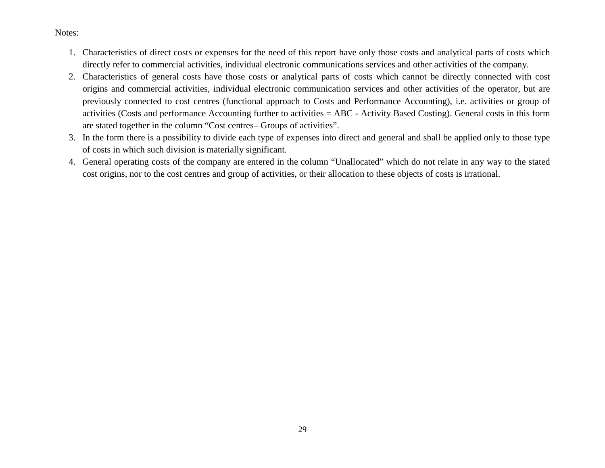#### Notes:

- 1. Characteristics of direct costs or expenses for the need of this report have only those costs and analytical parts of costs which directly refer to commercial activities, individual electronic communications services and other activities of the company.
- 2. Characteristics of general costs have those costs or analytical parts of costs which cannot be directly connected with cost origins and commercial activities, individual electronic communication services and other activities of the operator, but are previously connected to cost centres (functional approach to Costs and Performance Accounting), i.e. activities or group of activities (Costs and performance Accounting further to activities = ABC - Activity Based Costing). General costs in this form are stated together in the column "Cost centres– Groups of activities".
- 3. In the form there is a possibility to divide each type of expenses into direct and general and shall be applied only to those type of costs in which such division is materially significant.
- 4. General operating costs of the company are entered in the column "Unallocated" which do not relate in any way to the stated cost origins, nor to the cost centres and group of activities, or their allocation to these objects of costs is irrational.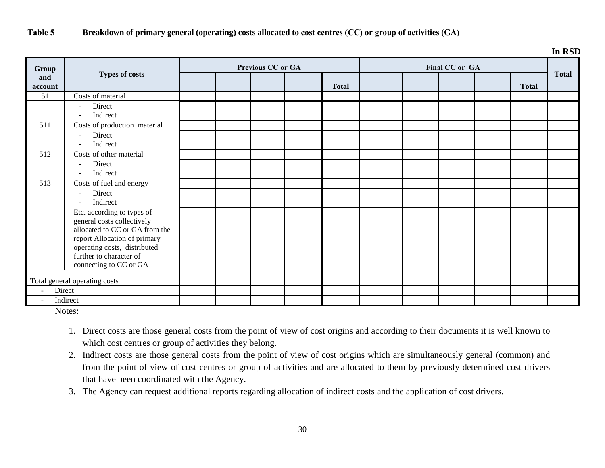# **Таble 5 Breakdown of primary general (operating) costs allocated to cost centres (CC) or group of activities (GА)**

|                |                                                                                                                                                                                                                 |  |                          |              |  |                |              | In RSD       |
|----------------|-----------------------------------------------------------------------------------------------------------------------------------------------------------------------------------------------------------------|--|--------------------------|--------------|--|----------------|--------------|--------------|
| Group          |                                                                                                                                                                                                                 |  | <b>Previous CC or GA</b> |              |  | Final CC or GA |              |              |
| and<br>account | <b>Types of costs</b>                                                                                                                                                                                           |  |                          | <b>Total</b> |  |                | <b>Total</b> | <b>Total</b> |
| 51             | Costs of material                                                                                                                                                                                               |  |                          |              |  |                |              |              |
|                | Direct<br>$\sim$                                                                                                                                                                                                |  |                          |              |  |                |              |              |
|                | Indirect<br>$\blacksquare$                                                                                                                                                                                      |  |                          |              |  |                |              |              |
| 511            | Costs of production material                                                                                                                                                                                    |  |                          |              |  |                |              |              |
|                | Direct<br>$\blacksquare$                                                                                                                                                                                        |  |                          |              |  |                |              |              |
|                | Indirect<br>$\sim$                                                                                                                                                                                              |  |                          |              |  |                |              |              |
| 512            | Costs of other material                                                                                                                                                                                         |  |                          |              |  |                |              |              |
|                | Direct<br>$\blacksquare$                                                                                                                                                                                        |  |                          |              |  |                |              |              |
|                | Indirect<br>$\overline{\phantom{a}}$                                                                                                                                                                            |  |                          |              |  |                |              |              |
| 513            | Costs of fuel and energy                                                                                                                                                                                        |  |                          |              |  |                |              |              |
|                | Direct<br>$\sim$                                                                                                                                                                                                |  |                          |              |  |                |              |              |
|                | Indirect<br>$\sim$                                                                                                                                                                                              |  |                          |              |  |                |              |              |
|                | Etc. according to types of<br>general costs collectively<br>allocated to CC or GA from the<br>report Allocation of primary<br>operating costs, distributed<br>further to character of<br>connecting to CC or GA |  |                          |              |  |                |              |              |
|                | Total general operating costs                                                                                                                                                                                   |  |                          |              |  |                |              |              |
|                | Direct                                                                                                                                                                                                          |  |                          |              |  |                |              |              |
|                | Indirect                                                                                                                                                                                                        |  |                          |              |  |                |              |              |

Notes:

- 1. Direct costs are those general costs from the point of view of cost origins and according to their documents it is well known to which cost centres or group of activities they belong.
- 2. Indirect costs are those general costs from the point of view of cost origins which are simultaneously general (common) and from the point of view of cost centres or group of activities and are allocated to them by previously determined cost drivers that have been coordinated with the Agency.
- 3. The Agency can request additional reports regarding allocation of indirect costs and the application of cost drivers.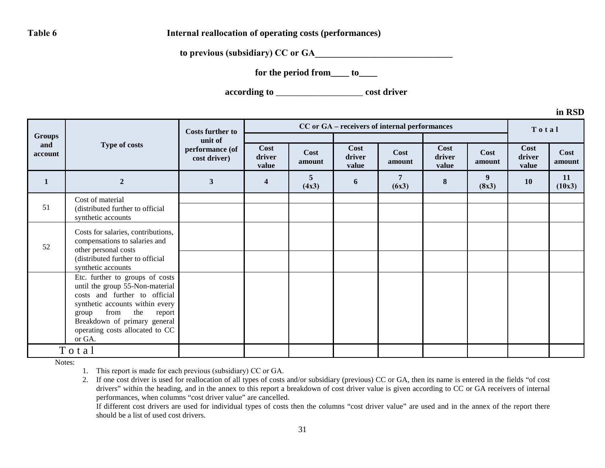**Table 6** Internal reallocation of operating costs (performances)

**to previous (subsidiary) CC or GA** 

**for the period from\_\_\_\_ to\_\_\_\_**

**according to** \_\_\_\_\_\_\_\_\_\_\_\_\_\_\_\_\_\_\_ **cost driver**

**in RSD**

|                                 |                                                                                                                                                                                                                                                       | <b>Costs further to</b>                    |                         |                |                         | CC or GA - receivers of internal performances |                         |                | Total                   |                |
|---------------------------------|-------------------------------------------------------------------------------------------------------------------------------------------------------------------------------------------------------------------------------------------------------|--------------------------------------------|-------------------------|----------------|-------------------------|-----------------------------------------------|-------------------------|----------------|-------------------------|----------------|
| <b>Groups</b><br>and<br>account | Type of costs                                                                                                                                                                                                                                         | unit of<br>performance (of<br>cost driver) | Cost<br>driver<br>value | Cost<br>amount | Cost<br>driver<br>value | Cost<br>amount                                | Cost<br>driver<br>value | Cost<br>amount | Cost<br>driver<br>value | Cost<br>amount |
|                                 | $\overline{2}$                                                                                                                                                                                                                                        | 3                                          | $\overline{\mathbf{4}}$ | 5<br>(4x3)     | 6                       | 7<br>(6x3)                                    | $\bf 8$                 | 9<br>(8x3)     | 10                      | 11<br>(10x3)   |
| 51                              | Cost of material<br>(distributed further to official<br>synthetic accounts                                                                                                                                                                            |                                            |                         |                |                         |                                               |                         |                |                         |                |
| 52                              | Costs for salaries, contributions,<br>compensations to salaries and<br>other personal costs<br>(distributed further to official<br>synthetic accounts                                                                                                 |                                            |                         |                |                         |                                               |                         |                |                         |                |
|                                 | Etc. further to groups of costs<br>until the group 55-Non-material<br>costs and further to official<br>synthetic accounts within every<br>from<br>the<br>report<br>group<br>Breakdown of primary general<br>operating costs allocated to CC<br>or GA. |                                            |                         |                |                         |                                               |                         |                |                         |                |
|                                 | Total                                                                                                                                                                                                                                                 |                                            |                         |                |                         |                                               |                         |                |                         |                |

Notes:

1. This report is made for each previous (subsidiary) CC or GА.

2. If one cost driver is used for reallocation of all types of costs and/or subsidiary (previous) CC or GA, then its name is entered in the fields "of cost drivers" within the heading, and in the annex to this report a breakdown of cost driver value is given according to CC or GA receivers of internal performances, when columns "cost driver value" are cancelled.

If different cost drivers are used for individual types of costs then the columns "cost driver value" are used and in the annex of the report there should be a list of used cost drivers.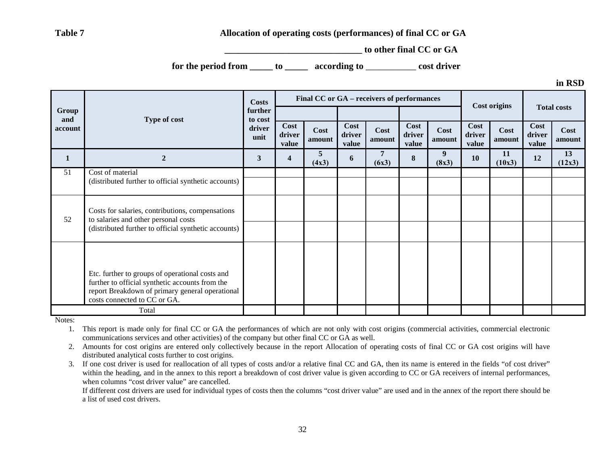### **Table 7 Allocation of operating costs (performances) of final CC or GA**

**to other final CC or GA** 

**for the period from \_\_\_\_\_ to \_\_\_\_\_ according to** \_\_\_\_\_\_\_\_\_\_\_ **cost driver**

**in RSD**

|              |                                                                                                                                                                                       | <b>Costs</b>       |                         |                |                         | Final CC or GA - receivers of performances |                         |                | <b>Cost origins</b>     |                | <b>Total costs</b>      |                |
|--------------|---------------------------------------------------------------------------------------------------------------------------------------------------------------------------------------|--------------------|-------------------------|----------------|-------------------------|--------------------------------------------|-------------------------|----------------|-------------------------|----------------|-------------------------|----------------|
| Group<br>and | Type of cost                                                                                                                                                                          | further<br>to cost |                         |                |                         |                                            |                         |                |                         |                |                         |                |
| account      |                                                                                                                                                                                       |                    | Cost<br>driver<br>value | Cost<br>amount | Cost<br>driver<br>value | Cost<br>amount                             | Cost<br>driver<br>value | Cost<br>amount | Cost<br>driver<br>value | Cost<br>amount | Cost<br>driver<br>value | Cost<br>amount |
| $\mathbf{1}$ | $\mathbf{2}$                                                                                                                                                                          | 3                  | 4                       | 5<br>(4x3)     | 6                       | (6x3)                                      | 8                       | 9<br>(8x3)     | 10                      | 11<br>(10x3)   | 12                      | 13<br>(12x3)   |
| 51           | Cost of material                                                                                                                                                                      |                    |                         |                |                         |                                            |                         |                |                         |                |                         |                |
|              | (distributed further to official synthetic accounts)                                                                                                                                  |                    |                         |                |                         |                                            |                         |                |                         |                |                         |                |
| 52           | Costs for salaries, contributions, compensations<br>to salaries and other personal costs<br>(distributed further to official synthetic accounts)                                      |                    |                         |                |                         |                                            |                         |                |                         |                |                         |                |
|              |                                                                                                                                                                                       |                    |                         |                |                         |                                            |                         |                |                         |                |                         |                |
|              | Etc. further to groups of operational costs and<br>further to official synthetic accounts from the<br>report Breakdown of primary general operational<br>costs connected to CC or GA. |                    |                         |                |                         |                                            |                         |                |                         |                |                         |                |
|              | Total                                                                                                                                                                                 |                    |                         |                |                         |                                            |                         |                |                         |                |                         |                |

Notes:

1. This report is made only for final CC or GA the performances of which are not only with cost origins (commercial activities, commercial electronic communications services and other activities) of the company but other final CC or GA as well.

2. Amounts for cost origins are entered only collectively because in the report Allocation of operating costs of final CC or GA cost origins will have distributed analytical costs further to cost origins.

3. If one cost driver is used for reallocation of all types of costs and/or a relative final CC and GA, then its name is entered in the fields "of cost driver" within the heading, and in the annex to this report a breakdown of cost driver value is given according to CC or GA receivers of internal performances, when columns "cost driver value" are cancelled.

If different cost drivers are used for individual types of costs then the columns "cost driver value" are used and in the annex of the report there should be a list of used cost drivers.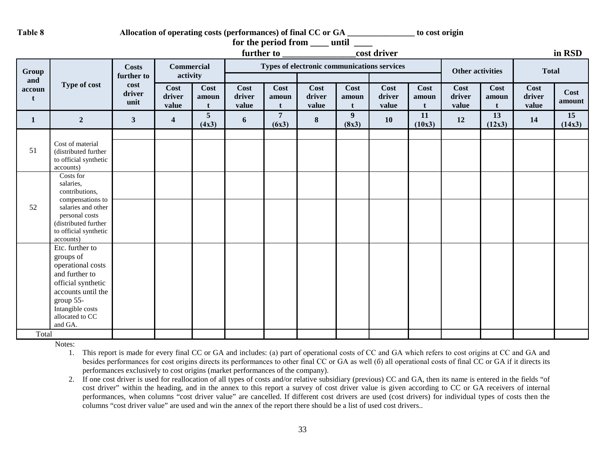Table 8 Allocation of operating costs (performances) of final CC or GA \_\_\_\_\_\_\_\_\_\_\_\_\_\_\_\_ to cost origin

|              |                                                                                                                                                                                             |                            |                               |                                  |                         |                         | for the period from ____ until _            |                               |                         |                               |                         |               |                         |                |
|--------------|---------------------------------------------------------------------------------------------------------------------------------------------------------------------------------------------|----------------------------|-------------------------------|----------------------------------|-------------------------|-------------------------|---------------------------------------------|-------------------------------|-------------------------|-------------------------------|-------------------------|---------------|-------------------------|----------------|
|              |                                                                                                                                                                                             |                            |                               |                                  |                         |                         |                                             |                               | cost driver             |                               |                         |               |                         | in RSD         |
| Group<br>and |                                                                                                                                                                                             | <b>Costs</b><br>further to | <b>Commercial</b><br>activity |                                  |                         |                         | Types of electronic communications services |                               |                         |                               | <b>Other activities</b> |               | <b>Total</b>            |                |
| accoun<br>t  | Type of cost                                                                                                                                                                                | cost<br>driver<br>unit     | Cost<br>driver<br>value       | Cost<br>amoun                    | Cost<br>driver<br>value | Cost<br>amoun<br>t      | <b>Cost</b><br>driver<br>value              | Cost<br>amoun<br>$\mathbf{t}$ | Cost<br>driver<br>value | Cost<br>amoun<br>$\mathbf{f}$ | Cost<br>driver<br>value | Cost<br>amoun | Cost<br>driver<br>value | Cost<br>amount |
| 1            | $\overline{2}$                                                                                                                                                                              | $\mathbf{3}$               | $\overline{\mathbf{4}}$       | $\overline{\mathbf{5}}$<br>(4x3) | 6                       | $\overline{7}$<br>(6x3) | $\bf{8}$                                    | $\boldsymbol{9}$<br>(8x3)     | <b>10</b>               | 11<br>(10x3)                  | 12                      | 13<br>(12x3)  | 14                      | 15<br>(14x3)   |
| 51           | Cost of material<br>(distributed further<br>to official synthetic<br>accounts)                                                                                                              |                            |                               |                                  |                         |                         |                                             |                               |                         |                               |                         |               |                         |                |
| 52           | Costs for<br>salaries,<br>contributions,<br>compensations to<br>salaries and other<br>personal costs<br>(distributed further<br>to official synthetic                                       |                            |                               |                                  |                         |                         |                                             |                               |                         |                               |                         |               |                         |                |
|              | accounts)<br>Etc. further to<br>groups of<br>operational costs<br>and further to<br>official synthetic<br>accounts until the<br>group 55-<br>Intangible costs<br>allocated to CC<br>and GA. |                            |                               |                                  |                         |                         |                                             |                               |                         |                               |                         |               |                         |                |
| Total        |                                                                                                                                                                                             |                            |                               |                                  |                         |                         |                                             |                               |                         |                               |                         |               |                         |                |

Notes:

- 1. This report is made for every final CC or GA and includes: (а) part of operational costs of CC and GA which refers to cost origins at CC and GA and besides performances for cost origins directs its performances to other final CC or GA as well (б) all operational costs of final CC or GA if it directs its performances exclusively to cost origins (market performances of the company).
- 2. If one cost driver is used for reallocation of all types of costs and/or relative subsidiary (previous) CC and GA, then its name is entered in the fields "of cost driver" within the heading, and in the annex to this report a survey of cost driver value is given according to CC or GA receivers of internal performances, when columns "cost driver value" are cancelled. If different cost drivers are used (cost drivers) for individual types of costs then the columns "cost driver value" are used and win the annex of the report there should be a list of used cost drivers..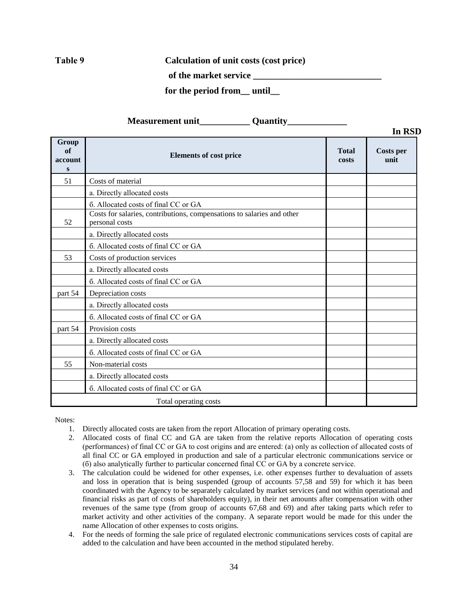**Таble 9 Calculation of unit costs (cost price)**

 **of the market service \_\_\_\_\_\_\_\_\_\_\_\_\_\_\_\_\_\_\_\_\_\_\_\_\_\_\_\_**

 **for the period from\_\_ until\_\_** 

| <b>Measurement unit</b> | <b>Ouantity</b> |  |
|-------------------------|-----------------|--|
|-------------------------|-----------------|--|

|                             |                                                                                          |                       | In RSD            |
|-----------------------------|------------------------------------------------------------------------------------------|-----------------------|-------------------|
| Group<br>of<br>account<br>S | <b>Elements of cost price</b>                                                            | <b>Total</b><br>costs | Costs per<br>unit |
| 51                          | Costs of material                                                                        |                       |                   |
|                             | a. Directly allocated costs                                                              |                       |                   |
|                             | 6. Allocated costs of final CC or GA                                                     |                       |                   |
| 52                          | Costs for salaries, contributions, compensations to salaries and other<br>personal costs |                       |                   |
|                             | a. Directly allocated costs                                                              |                       |                   |
|                             | 6. Allocated costs of final CC or GA                                                     |                       |                   |
| 53                          | Costs of production services                                                             |                       |                   |
|                             | a. Directly allocated costs                                                              |                       |                   |
|                             | 6. Allocated costs of final CC or GA                                                     |                       |                   |
| part 54                     | Depreciation costs                                                                       |                       |                   |
|                             | a. Directly allocated costs                                                              |                       |                   |
|                             | 6. Allocated costs of final CC or GA                                                     |                       |                   |
| part 54                     | Provision costs                                                                          |                       |                   |
|                             | a. Directly allocated costs                                                              |                       |                   |
|                             | 6. Allocated costs of final CC or GA                                                     |                       |                   |
| 55                          | Non-material costs                                                                       |                       |                   |
|                             | a. Directly allocated costs                                                              |                       |                   |
|                             | 6. Allocated costs of final CC or GA                                                     |                       |                   |
|                             | Total operating costs                                                                    |                       |                   |

Notes:

- 1. Directly allocated costs are taken from the report Allocation of primary operating costs.
- 2. Allocated costs of final CC and GA are taken from the relative reports Allocation of operating costs (performances) of final CC or GA to cost origins and are entered: (а) only as collection of allocated costs of all final CC or GA employed in production and sale of a particular electronic communications service or (б) also analytically further to particular concerned final CC or GA by a concrete service.
- 3. The calculation could be widened for other expenses, i.e. other expenses further to devaluation of assets and loss in operation that is being suspended (group of accounts 57,58 and 59) for which it has been coordinated with the Agency to be separately calculated by market services (and not within operational and financial risks as part of costs of shareholders equity), in their net amounts after compensation with other revenues of the same type (from group of accounts 67,68 and 69) and after taking parts which refer to market activity and other activities of the company. A separate report would be made for this under the name Allocation of other expenses to costs origins.
- 4. For the needs of forming the sale price of regulated electronic communications services costs of capital are added to the calculation and have been accounted in the method stipulated hereby.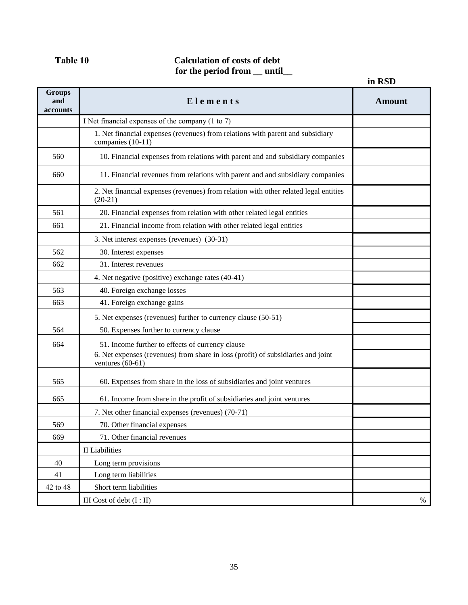# **Таble 10 Calculation of costs of debt for the period from \_\_ until\_\_**

|                                  |                                                                                                        | in RSD        |
|----------------------------------|--------------------------------------------------------------------------------------------------------|---------------|
| <b>Groups</b><br>and<br>accounts | Elements                                                                                               | <b>Amount</b> |
|                                  | I Net financial expenses of the company (1 to 7)                                                       |               |
|                                  | 1. Net financial expenses (revenues) from relations with parent and subsidiary<br>companies (10-11)    |               |
| 560                              | 10. Financial expenses from relations with parent and and subsidiary companies                         |               |
| 660                              | 11. Financial revenues from relations with parent and and subsidiary companies                         |               |
|                                  | 2. Net financial expenses (revenues) from relation with other related legal entities<br>$(20-21)$      |               |
| 561                              | 20. Financial expenses from relation with other related legal entities                                 |               |
| 661                              | 21. Financial income from relation with other related legal entities                                   |               |
|                                  | 3. Net interest expenses (revenues) (30-31)                                                            |               |
| 562                              | 30. Interest expenses                                                                                  |               |
| 662                              | 31. Interest revenues                                                                                  |               |
|                                  | 4. Net negative (positive) exchange rates (40-41)                                                      |               |
| 563                              | 40. Foreign exchange losses                                                                            |               |
| 663                              | 41. Foreign exchange gains                                                                             |               |
|                                  | 5. Net expenses (revenues) further to currency clause (50-51)                                          |               |
| 564                              | 50. Expenses further to currency clause                                                                |               |
| 664                              | 51. Income further to effects of currency clause                                                       |               |
|                                  | 6. Net expenses (revenues) from share in loss (profit) of subsidiaries and joint<br>ventures $(60-61)$ |               |
| 565                              | 60. Expenses from share in the loss of subsidiaries and joint ventures                                 |               |
| 665                              | 61. Income from share in the profit of subsidiaries and joint ventures                                 |               |
|                                  | 7. Net other financial expenses (revenues) (70-71)                                                     |               |
| 569                              | 70. Other financial expenses                                                                           |               |
| 669                              | 71. Other financial revenues                                                                           |               |
|                                  | II Liabilities                                                                                         |               |
| 40                               | Long term provisions                                                                                   |               |
| 41                               | Long term liabilities                                                                                  |               |
| 42 to 48                         | Short term liabilities                                                                                 |               |
|                                  | III Cost of debt $(I:II)$                                                                              | %             |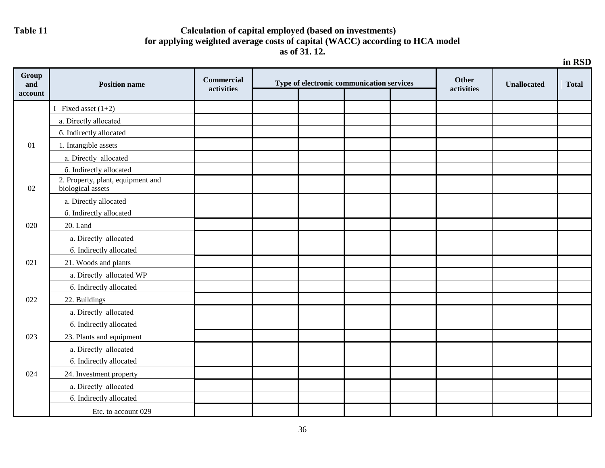# Table 11 **Calculation of capital employed (based on investments) for applying weighted average costs of capital (WACC) according to HCA model as of 31. 12.**

|                         | in RSD                                                 |                                 |  |                                           |  |  |                            |                    |              |
|-------------------------|--------------------------------------------------------|---------------------------------|--|-------------------------------------------|--|--|----------------------------|--------------------|--------------|
| Group<br>and<br>account | <b>Position name</b>                                   | <b>Commercial</b><br>activities |  | Type of electronic communication services |  |  | <b>Other</b><br>activities | <b>Unallocated</b> | <b>Total</b> |
|                         | I Fixed asset $(1+2)$                                  |                                 |  |                                           |  |  |                            |                    |              |
|                         | a. Directly allocated                                  |                                 |  |                                           |  |  |                            |                    |              |
|                         | 6. Indirectly allocated                                |                                 |  |                                           |  |  |                            |                    |              |
| 01                      | 1. Intangible assets                                   |                                 |  |                                           |  |  |                            |                    |              |
|                         | a. Directly allocated                                  |                                 |  |                                           |  |  |                            |                    |              |
|                         | 6. Indirectly allocated                                |                                 |  |                                           |  |  |                            |                    |              |
| 02                      | 2. Property, plant, equipment and<br>biological assets |                                 |  |                                           |  |  |                            |                    |              |
|                         | a. Directly allocated                                  |                                 |  |                                           |  |  |                            |                    |              |
|                         | 6. Indirectly allocated                                |                                 |  |                                           |  |  |                            |                    |              |
| 020                     | 20. Land                                               |                                 |  |                                           |  |  |                            |                    |              |
|                         | a. Directly allocated                                  |                                 |  |                                           |  |  |                            |                    |              |
|                         | 6. Indirectly allocated                                |                                 |  |                                           |  |  |                            |                    |              |
| 021                     | 21. Woods and plants                                   |                                 |  |                                           |  |  |                            |                    |              |
|                         | a. Directly allocated WP                               |                                 |  |                                           |  |  |                            |                    |              |
|                         | 6. Indirectly allocated                                |                                 |  |                                           |  |  |                            |                    |              |
| 022                     | 22. Buildings                                          |                                 |  |                                           |  |  |                            |                    |              |
|                         | a. Directly allocated                                  |                                 |  |                                           |  |  |                            |                    |              |
|                         | 6. Indirectly allocated                                |                                 |  |                                           |  |  |                            |                    |              |
| 023                     | 23. Plants and equipment                               |                                 |  |                                           |  |  |                            |                    |              |
|                         | a. Directly allocated                                  |                                 |  |                                           |  |  |                            |                    |              |
|                         | 6. Indirectly allocated                                |                                 |  |                                           |  |  |                            |                    |              |
| 024                     | 24. Investment property                                |                                 |  |                                           |  |  |                            |                    |              |
|                         | a. Directly allocated                                  |                                 |  |                                           |  |  |                            |                    |              |
|                         | 6. Indirectly allocated                                |                                 |  |                                           |  |  |                            |                    |              |
|                         | Etc. to account 029                                    |                                 |  |                                           |  |  |                            |                    |              |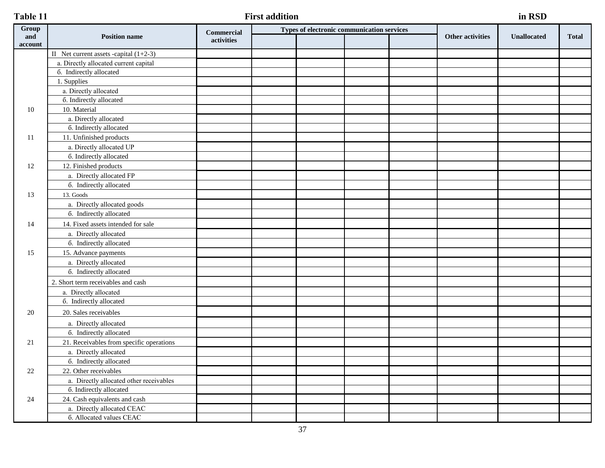# **Таble 11 First addition in RSD**

| Group          |                                          | <b>Commercial</b> | Types of electronic communication services |  |                         | <b>Unallocated</b> |              |
|----------------|------------------------------------------|-------------------|--------------------------------------------|--|-------------------------|--------------------|--------------|
| and<br>account | <b>Position name</b>                     | activities        |                                            |  | <b>Other activities</b> |                    | <b>Total</b> |
|                | II Net current assets -capital $(1+2-3)$ |                   |                                            |  |                         |                    |              |
|                | a. Directly allocated current capital    |                   |                                            |  |                         |                    |              |
|                | 6. Indirectly allocated                  |                   |                                            |  |                         |                    |              |
|                | 1. Supplies                              |                   |                                            |  |                         |                    |              |
|                | a. Directly allocated                    |                   |                                            |  |                         |                    |              |
|                | 6. Indirectly allocated                  |                   |                                            |  |                         |                    |              |
| 10             | 10. Material                             |                   |                                            |  |                         |                    |              |
|                | a. Directly allocated                    |                   |                                            |  |                         |                    |              |
|                | 6. Indirectly allocated                  |                   |                                            |  |                         |                    |              |
| 11             | 11. Unfinished products                  |                   |                                            |  |                         |                    |              |
|                | a. Directly allocated UP                 |                   |                                            |  |                         |                    |              |
|                | <b>6</b> . Indirectly allocated          |                   |                                            |  |                         |                    |              |
| 12             | 12. Finished products                    |                   |                                            |  |                         |                    |              |
|                | a. Directly allocated FP                 |                   |                                            |  |                         |                    |              |
|                | 6. Indirectly allocated                  |                   |                                            |  |                         |                    |              |
| 13             | 13. Goods                                |                   |                                            |  |                         |                    |              |
|                | a. Directly allocated goods              |                   |                                            |  |                         |                    |              |
|                | 6. Indirectly allocated                  |                   |                                            |  |                         |                    |              |
| 14             | 14. Fixed assets intended for sale       |                   |                                            |  |                         |                    |              |
|                | a. Directly allocated                    |                   |                                            |  |                         |                    |              |
|                | 6. Indirectly allocated                  |                   |                                            |  |                         |                    |              |
| 15             | 15. Advance payments                     |                   |                                            |  |                         |                    |              |
|                | a. Directly allocated                    |                   |                                            |  |                         |                    |              |
|                | 6. Indirectly allocated                  |                   |                                            |  |                         |                    |              |
|                | 2. Short term receivables and cash       |                   |                                            |  |                         |                    |              |
|                | a. Directly allocated                    |                   |                                            |  |                         |                    |              |
|                | 6. Indirectly allocated                  |                   |                                            |  |                         |                    |              |
| 20             | 20. Sales receivables                    |                   |                                            |  |                         |                    |              |
|                | a. Directly allocated                    |                   |                                            |  |                         |                    |              |
|                | 6. Indirectly allocated                  |                   |                                            |  |                         |                    |              |
| 21             | 21. Receivables from specific operations |                   |                                            |  |                         |                    |              |
|                | a. Directly allocated                    |                   |                                            |  |                         |                    |              |
|                | 6. Indirectly allocated                  |                   |                                            |  |                         |                    |              |
| 22             | 22. Other receivables                    |                   |                                            |  |                         |                    |              |
|                | a. Directly allocated other receivables  |                   |                                            |  |                         |                    |              |
|                | 6. Indirectly allocated                  |                   |                                            |  |                         |                    |              |
| 24             | 24. Cash equivalents and cash            |                   |                                            |  |                         |                    |              |
|                | a. Directly allocated CEAC               |                   |                                            |  |                         |                    |              |
|                | 6. Allocated values CEAC                 |                   |                                            |  |                         |                    |              |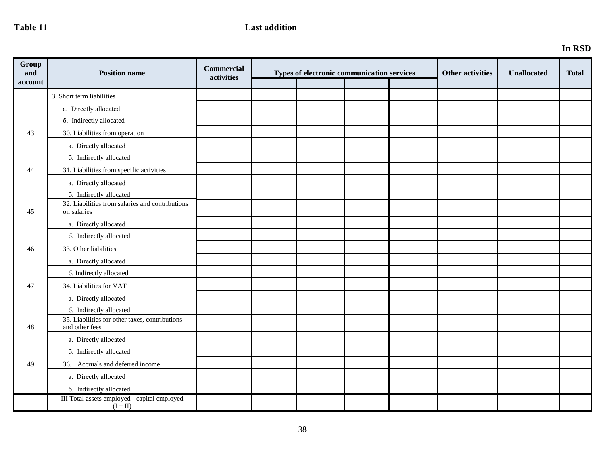# Table 11 Last addition

| Group<br>and<br>account | <b>Position name</b>                                             | Commercial<br>activities | Types of electronic communication services |  | <b>Other activities</b> | <b>Unallocated</b> | <b>Total</b> |  |
|-------------------------|------------------------------------------------------------------|--------------------------|--------------------------------------------|--|-------------------------|--------------------|--------------|--|
|                         | 3. Short term liabilities                                        |                          |                                            |  |                         |                    |              |  |
|                         | a. Directly allocated                                            |                          |                                            |  |                         |                    |              |  |
|                         | 6. Indirectly allocated                                          |                          |                                            |  |                         |                    |              |  |
| 43                      | 30. Liabilities from operation                                   |                          |                                            |  |                         |                    |              |  |
|                         | a. Directly allocated                                            |                          |                                            |  |                         |                    |              |  |
|                         | 6. Indirectly allocated                                          |                          |                                            |  |                         |                    |              |  |
| 44                      | 31. Liabilities from specific activities                         |                          |                                            |  |                         |                    |              |  |
|                         | a. Directly allocated                                            |                          |                                            |  |                         |                    |              |  |
|                         | 6. Indirectly allocated                                          |                          |                                            |  |                         |                    |              |  |
| 45                      | 32. Liabilities from salaries and contributions<br>on salaries   |                          |                                            |  |                         |                    |              |  |
|                         | a. Directly allocated                                            |                          |                                            |  |                         |                    |              |  |
|                         | 6. Indirectly allocated                                          |                          |                                            |  |                         |                    |              |  |
| 46                      | 33. Other liabilities                                            |                          |                                            |  |                         |                    |              |  |
|                         | a. Directly allocated                                            |                          |                                            |  |                         |                    |              |  |
|                         | 6. Indirectly allocated                                          |                          |                                            |  |                         |                    |              |  |
| 47                      | 34. Liabilities for VAT                                          |                          |                                            |  |                         |                    |              |  |
|                         | a. Directly allocated                                            |                          |                                            |  |                         |                    |              |  |
|                         | 6. Indirectly allocated                                          |                          |                                            |  |                         |                    |              |  |
| 48                      | 35. Liabilities for other taxes, contributions<br>and other fees |                          |                                            |  |                         |                    |              |  |
|                         | a. Directly allocated                                            |                          |                                            |  |                         |                    |              |  |
|                         | 6. Indirectly allocated                                          |                          |                                            |  |                         |                    |              |  |
| 49                      | 36. Accruals and deferred income                                 |                          |                                            |  |                         |                    |              |  |
|                         | a. Directly allocated                                            |                          |                                            |  |                         |                    |              |  |
|                         | 6. Indirectly allocated                                          |                          |                                            |  |                         |                    |              |  |
|                         | III Total assets employed - capital employed<br>$(I + II)$       |                          |                                            |  |                         |                    |              |  |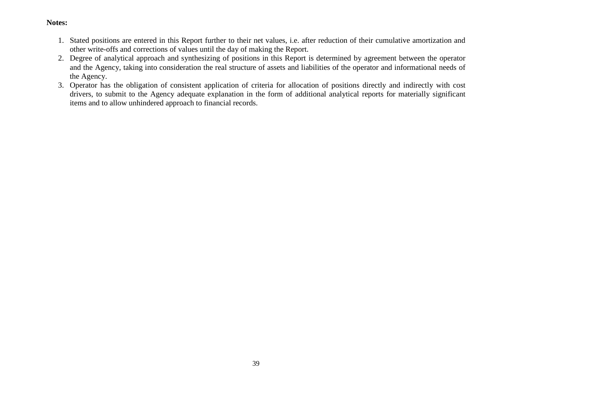# **Notes:**

- 1. Stated positions are entered in this Report further to their net values, i.e. after reduction of their cumulative amortization and other write-offs and corrections of values until the day of making the Report.
- 2. Degree of analytical approach and synthesizing of positions in this Report is determined by agreement between the operator and the Agency, taking into consideration the real structure of assets and liabilities of the operator and informational needs of the Agency.
- 3. Operator has the obligation of consistent application of criteria for allocation of positions directly and indirectly with cost drivers, to submit to the Agency adequate explanation in the form of additional analytical reports for materially significant items and to allow unhindered approach to financial records.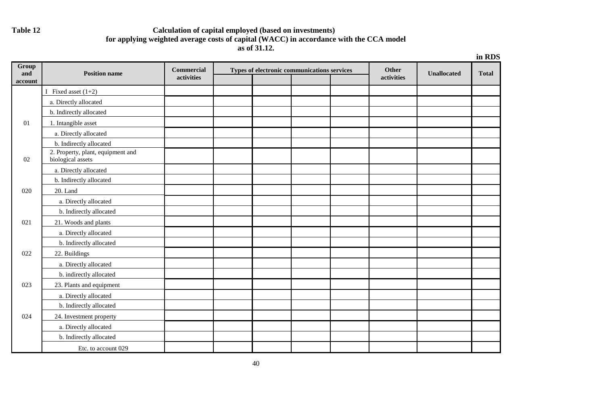# **Таble 12 Calculation of capital employed (based on investments) for applying weighted average costs of capital (WACC) in accordance with the CCA model as of 31.12.**

|                | in RDS                                                 |                   |  |  |                                             |  |              |                    |              |
|----------------|--------------------------------------------------------|-------------------|--|--|---------------------------------------------|--|--------------|--------------------|--------------|
| Group          |                                                        | <b>Commercial</b> |  |  | Types of electronic communications services |  | <b>Other</b> |                    |              |
| and<br>account | <b>Position name</b>                                   | activities        |  |  |                                             |  | activities   | <b>Unallocated</b> | <b>Total</b> |
|                | Fixed asset $(1+2)$                                    |                   |  |  |                                             |  |              |                    |              |
|                | a. Directly allocated                                  |                   |  |  |                                             |  |              |                    |              |
|                | b. Indirectly allocated                                |                   |  |  |                                             |  |              |                    |              |
| 01             | 1. Intangible asset                                    |                   |  |  |                                             |  |              |                    |              |
|                | a. Directly allocated                                  |                   |  |  |                                             |  |              |                    |              |
|                | b. Indirectly allocated                                |                   |  |  |                                             |  |              |                    |              |
| 02             | 2. Property, plant, equipment and<br>biological assets |                   |  |  |                                             |  |              |                    |              |
|                | a. Directly allocated                                  |                   |  |  |                                             |  |              |                    |              |
|                | b. Indirectly allocated                                |                   |  |  |                                             |  |              |                    |              |
| 020            | 20. Land                                               |                   |  |  |                                             |  |              |                    |              |
|                | a. Directly allocated                                  |                   |  |  |                                             |  |              |                    |              |
|                | b. Indirectly allocated                                |                   |  |  |                                             |  |              |                    |              |
| 021            | 21. Woods and plants                                   |                   |  |  |                                             |  |              |                    |              |
|                | a. Directly allocated                                  |                   |  |  |                                             |  |              |                    |              |
|                | b. Indirectly allocated                                |                   |  |  |                                             |  |              |                    |              |
| 022            | 22. Buildings                                          |                   |  |  |                                             |  |              |                    |              |
|                | a. Directly allocated                                  |                   |  |  |                                             |  |              |                    |              |
|                | b. indirectly allocated                                |                   |  |  |                                             |  |              |                    |              |
| 023            | 23. Plants and equipment                               |                   |  |  |                                             |  |              |                    |              |
|                | a. Directly allocated                                  |                   |  |  |                                             |  |              |                    |              |
|                | b. Indirectly allocated                                |                   |  |  |                                             |  |              |                    |              |
| 024            | 24. Investment property                                |                   |  |  |                                             |  |              |                    |              |
|                | a. Directly allocated                                  |                   |  |  |                                             |  |              |                    |              |
|                | b. Indirectly allocated                                |                   |  |  |                                             |  |              |                    |              |
|                | Etc. to account 029                                    |                   |  |  |                                             |  |              |                    |              |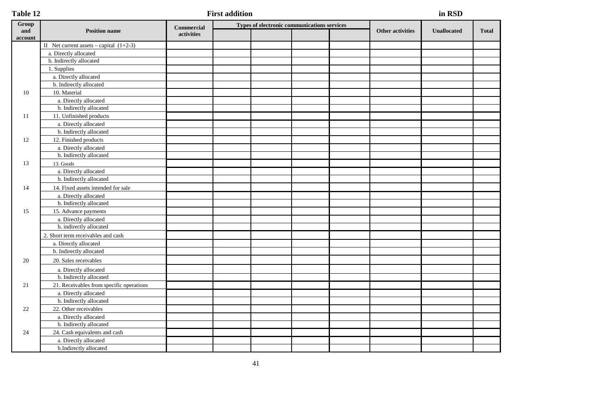| Table 12       |                                           | in RSD            |                                             |  |                         |                    |              |
|----------------|-------------------------------------------|-------------------|---------------------------------------------|--|-------------------------|--------------------|--------------|
| Group          |                                           | <b>Commercial</b> | Types of electronic communications services |  |                         |                    |              |
| and<br>account | <b>Position name</b>                      | activities        |                                             |  | <b>Other activities</b> | <b>Unallocated</b> | <b>Total</b> |
|                | II Net current assets – capital $(1+2-3)$ |                   |                                             |  |                         |                    |              |
|                | a. Directly allocated                     |                   |                                             |  |                         |                    |              |
|                | b. Indirectly allocated                   |                   |                                             |  |                         |                    |              |
|                | 1. Supplies                               |                   |                                             |  |                         |                    |              |
|                | a. Directly allocated                     |                   |                                             |  |                         |                    |              |
|                | b. Indirectly allocated                   |                   |                                             |  |                         |                    |              |
| 10             | 10. Material                              |                   |                                             |  |                         |                    |              |
|                | a. Directly allocated                     |                   |                                             |  |                         |                    |              |
|                | b. Indirectly allocated                   |                   |                                             |  |                         |                    |              |
| 11             | 11. Unfinished products                   |                   |                                             |  |                         |                    |              |
|                | a. Directly allocated                     |                   |                                             |  |                         |                    |              |
|                | b. Indirectly allocated                   |                   |                                             |  |                         |                    |              |
| 12             | 12. Finished products                     |                   |                                             |  |                         |                    |              |
|                | a. Directly allocated                     |                   |                                             |  |                         |                    |              |
|                | b. Indirectly allocated                   |                   |                                             |  |                         |                    |              |
| 13             | $13. \ensuremath{\text{Goods}}$           |                   |                                             |  |                         |                    |              |
|                | a. Directly allocated                     |                   |                                             |  |                         |                    |              |
|                | b. Indirectly allocated                   |                   |                                             |  |                         |                    |              |
| 14             | 14. Fixed assets intended for sale        |                   |                                             |  |                         |                    |              |
|                | a. Directly allocated                     |                   |                                             |  |                         |                    |              |
|                | b. Indirectly allocated                   |                   |                                             |  |                         |                    |              |
| 15             | 15. Advance payments                      |                   |                                             |  |                         |                    |              |
|                | a. Directly allocated                     |                   |                                             |  |                         |                    |              |
|                | b. indirectly allocated                   |                   |                                             |  |                         |                    |              |
|                | 2. Short term receivables and cash        |                   |                                             |  |                         |                    |              |
|                | a. Directly allocated                     |                   |                                             |  |                         |                    |              |
|                | b. Indirectly allocated                   |                   |                                             |  |                         |                    |              |
| 20             | 20. Sales receivables                     |                   |                                             |  |                         |                    |              |
|                | a. Directly allocated                     |                   |                                             |  |                         |                    |              |
|                | b. Indirectly allocated                   |                   |                                             |  |                         |                    |              |
| 21             | 21. Receivables from specific operations  |                   |                                             |  |                         |                    |              |
|                | a. Directly allocated                     |                   |                                             |  |                         |                    |              |
|                | b. Indirectly allocated                   |                   |                                             |  |                         |                    |              |
| $22\,$         | 22. Other receivables                     |                   |                                             |  |                         |                    |              |
|                | a. Directly allocated                     |                   |                                             |  |                         |                    |              |
|                | b. Indirectly allocated                   |                   |                                             |  |                         |                    |              |
| 24             | 24. Cash equivalents and cash             |                   |                                             |  |                         |                    |              |
|                | a. Directly allocated                     |                   |                                             |  |                         |                    |              |
|                | b.Indirectly allocated                    |                   |                                             |  |                         |                    |              |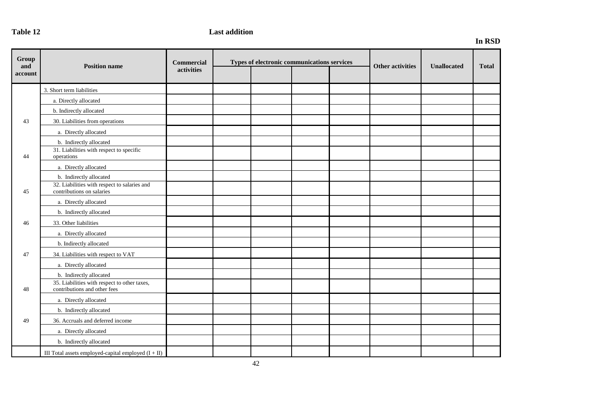# **Table 12** Last addition

# **In RSD**

| Group<br>and<br>account | <b>Position name</b>                                                         | Commercial<br>activities | Types of electronic communications services |  |  |  | <b>Other activities</b> | <b>Unallocated</b> | <b>Total</b> |
|-------------------------|------------------------------------------------------------------------------|--------------------------|---------------------------------------------|--|--|--|-------------------------|--------------------|--------------|
|                         | 3. Short term liabilities                                                    |                          |                                             |  |  |  |                         |                    |              |
|                         | a. Directly allocated                                                        |                          |                                             |  |  |  |                         |                    |              |
|                         | b. Indirectly allocated                                                      |                          |                                             |  |  |  |                         |                    |              |
| 43                      | 30. Liabilities from operations                                              |                          |                                             |  |  |  |                         |                    |              |
|                         | a. Directly allocated                                                        |                          |                                             |  |  |  |                         |                    |              |
|                         | b. Indirectly allocated                                                      |                          |                                             |  |  |  |                         |                    |              |
| 44                      | 31. Liabilities with respect to specific<br>operations                       |                          |                                             |  |  |  |                         |                    |              |
|                         | a. Directly allocated                                                        |                          |                                             |  |  |  |                         |                    |              |
|                         | b. Indirectly allocated                                                      |                          |                                             |  |  |  |                         |                    |              |
| 45                      | 32. Liabilities with respect to salaries and<br>contributions on salaries    |                          |                                             |  |  |  |                         |                    |              |
|                         | a. Directly allocated                                                        |                          |                                             |  |  |  |                         |                    |              |
|                         | b. Indirectly allocated                                                      |                          |                                             |  |  |  |                         |                    |              |
| 46                      | 33. Other liabilities                                                        |                          |                                             |  |  |  |                         |                    |              |
|                         | a. Directly allocated                                                        |                          |                                             |  |  |  |                         |                    |              |
|                         | b. Indirectly allocated                                                      |                          |                                             |  |  |  |                         |                    |              |
| 47                      | 34. Liabilities with respect to VAT                                          |                          |                                             |  |  |  |                         |                    |              |
|                         | a. Directly allocated                                                        |                          |                                             |  |  |  |                         |                    |              |
|                         | b. Indirectly allocated                                                      |                          |                                             |  |  |  |                         |                    |              |
| 48                      | 35. Liabilities with respect to other taxes,<br>contributions and other fees |                          |                                             |  |  |  |                         |                    |              |
|                         | a. Directly allocated                                                        |                          |                                             |  |  |  |                         |                    |              |
|                         | b. Indirectly allocated                                                      |                          |                                             |  |  |  |                         |                    |              |
| 49                      | 36. Accruals and deferred income                                             |                          |                                             |  |  |  |                         |                    |              |
|                         | a. Directly allocated                                                        |                          |                                             |  |  |  |                         |                    |              |
|                         | b. Indirectly allocated                                                      |                          |                                             |  |  |  |                         |                    |              |
|                         | III Total assets employed-capital employed $(I + II)$                        |                          |                                             |  |  |  |                         |                    |              |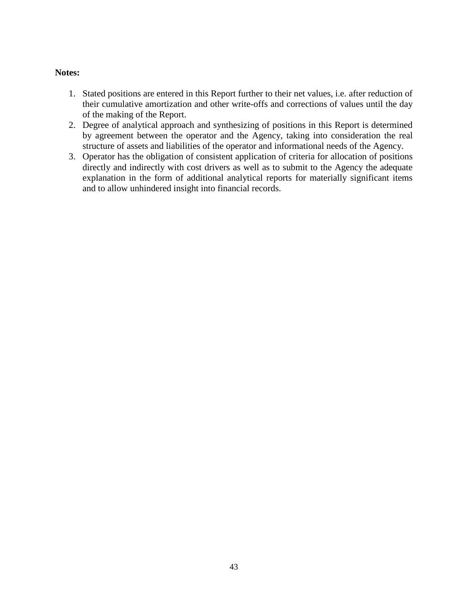# **Notes:**

- 1. Stated positions are entered in this Report further to their net values, i.e. after reduction of their cumulative amortization and other write-offs and corrections of values until the day of the making of the Report.
- 2. Degree of analytical approach and synthesizing of positions in this Report is determined by agreement between the operator and the Agency, taking into consideration the real structure of assets and liabilities of the operator and informational needs of the Agency.
- 3. Operator has the obligation of consistent application of criteria for allocation of positions directly and indirectly with cost drivers as well as to submit to the Agency the adequate explanation in the form of additional analytical reports for materially significant items and to allow unhindered insight into financial records.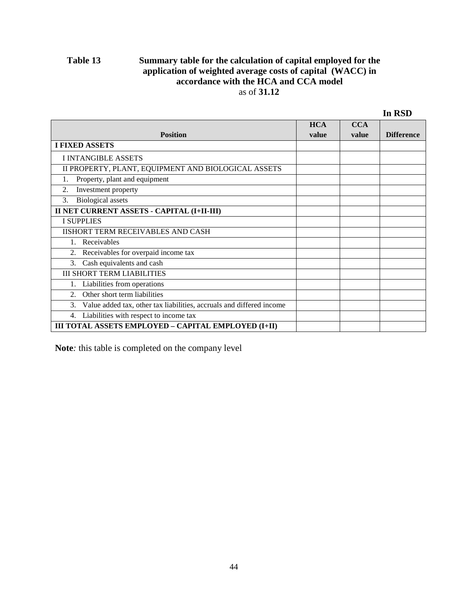# **Тable 13 Summary table for the calculation of capital employed for the application of weighted average costs of capital (WACC) in accordance with the HCA and CCA model** as of **31.12**

|                                                                            | <b>HCA</b> | <b>CCA</b> |                   |
|----------------------------------------------------------------------------|------------|------------|-------------------|
| <b>Position</b>                                                            | value      | value      | <b>Difference</b> |
| <b>I FIXED ASSETS</b>                                                      |            |            |                   |
| <b>I INTANGIBLE ASSETS</b>                                                 |            |            |                   |
| II PROPERTY, PLANT, EQUIPMENT AND BIOLOGICAL ASSETS                        |            |            |                   |
| Property, plant and equipment                                              |            |            |                   |
| 2.<br>Investment property                                                  |            |            |                   |
| <b>Biological</b> assets<br>3.                                             |            |            |                   |
| II NET CURRENT ASSETS - CAPITAL (I+II-III)                                 |            |            |                   |
| <b>I SUPPLIES</b>                                                          |            |            |                   |
| <b>IISHORT TERM RECEIVABLES AND CASH</b>                                   |            |            |                   |
| Receivables                                                                |            |            |                   |
| Receivables for overpaid income tax<br>2.                                  |            |            |                   |
| Cash equivalents and cash<br>3.                                            |            |            |                   |
| <b>III SHORT TERM LIABILITIES</b>                                          |            |            |                   |
| Liabilities from operations                                                |            |            |                   |
| Other short term liabilities<br>$2^{\circ}$                                |            |            |                   |
| Value added tax, other tax liabilities, accruals and differed income<br>3. |            |            |                   |
| Liabilities with respect to income tax<br>4.                               |            |            |                   |
| III TOTAL ASSETS EMPLOYED - CAPITAL EMPLOYED (I+II)                        |            |            |                   |

**Note***:* this table is completed on the company level

 **In RSD**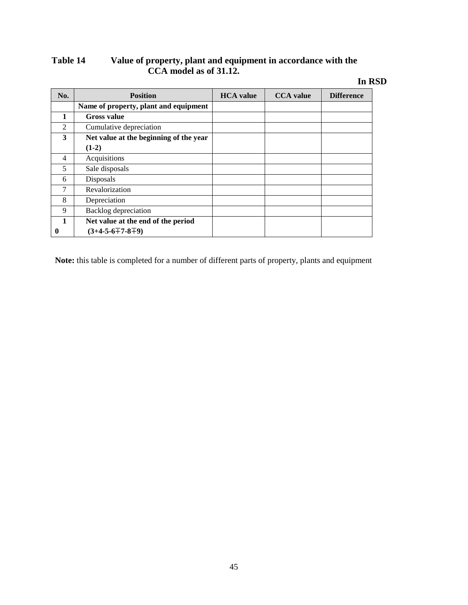# **Таble 14 Value of property, plant and equipment in accordance with the CCA model as of 31.12.**

# **In RSD**

| No.           | <b>Position</b>                        | <b>HCA</b> value | <b>CCA</b> value | <b>Difference</b> |
|---------------|----------------------------------------|------------------|------------------|-------------------|
|               | Name of property, plant and equipment  |                  |                  |                   |
| 1             | <b>Gross value</b>                     |                  |                  |                   |
| $\mathcal{L}$ | Cumulative depreciation                |                  |                  |                   |
| 3             | Net value at the beginning of the year |                  |                  |                   |
|               | $(1-2)$                                |                  |                  |                   |
| 4             | Acquisitions                           |                  |                  |                   |
| 5             | Sale disposals                         |                  |                  |                   |
| 6             | Disposals                              |                  |                  |                   |
| 7             | Revalorization                         |                  |                  |                   |
| 8             | Depreciation                           |                  |                  |                   |
| 9             | Backlog depreciation                   |                  |                  |                   |
| 1             | Net value at the end of the period     |                  |                  |                   |
| 0             | $(3+4-5-6+7-8+9)$                      |                  |                  |                   |

**Note:** this table is completed for a number of different parts of property, plants and equipment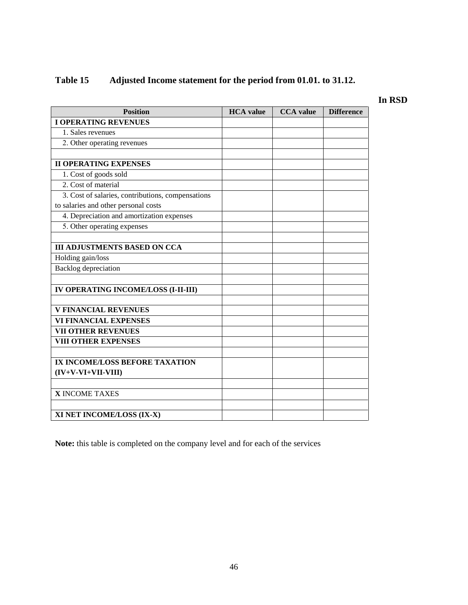# **Таble 15 Adjusted Income statement for the period from 01.01. to 31.12.**

# **In RSD**

| <b>Position</b>                                   | <b>HCA</b> value | <b>CCA</b> value | <b>Difference</b> |
|---------------------------------------------------|------------------|------------------|-------------------|
| <b>I OPERATING REVENUES</b>                       |                  |                  |                   |
| 1. Sales revenues                                 |                  |                  |                   |
| 2. Other operating revenues                       |                  |                  |                   |
|                                                   |                  |                  |                   |
| <b>II OPERATING EXPENSES</b>                      |                  |                  |                   |
| 1. Cost of goods sold                             |                  |                  |                   |
| 2. Cost of material                               |                  |                  |                   |
| 3. Cost of salaries, contributions, compensations |                  |                  |                   |
| to salaries and other personal costs              |                  |                  |                   |
| 4. Depreciation and amortization expenses         |                  |                  |                   |
| 5. Other operating expenses                       |                  |                  |                   |
|                                                   |                  |                  |                   |
| <b>III ADJUSTMENTS BASED ON CCA</b>               |                  |                  |                   |
| Holding gain/loss                                 |                  |                  |                   |
| <b>Backlog</b> depreciation                       |                  |                  |                   |
|                                                   |                  |                  |                   |
| IV OPERATING INCOME/LOSS (I-II-III)               |                  |                  |                   |
|                                                   |                  |                  |                   |
| <b>V FINANCIAL REVENUES</b>                       |                  |                  |                   |
| <b>VI FINANCIAL EXPENSES</b>                      |                  |                  |                   |
| <b>VII OTHER REVENUES</b>                         |                  |                  |                   |
| <b>VIII OTHER EXPENSES</b>                        |                  |                  |                   |
|                                                   |                  |                  |                   |
| IX INCOME/LOSS BEFORE TAXATION                    |                  |                  |                   |
| $(IV+V-VI+VII-VIII)$                              |                  |                  |                   |
|                                                   |                  |                  |                   |
| <b>X INCOME TAXES</b>                             |                  |                  |                   |
|                                                   |                  |                  |                   |
| XI NET INCOME/LOSS (IX-X)                         |                  |                  |                   |

**Note:** this table is completed on the company level and for each of the services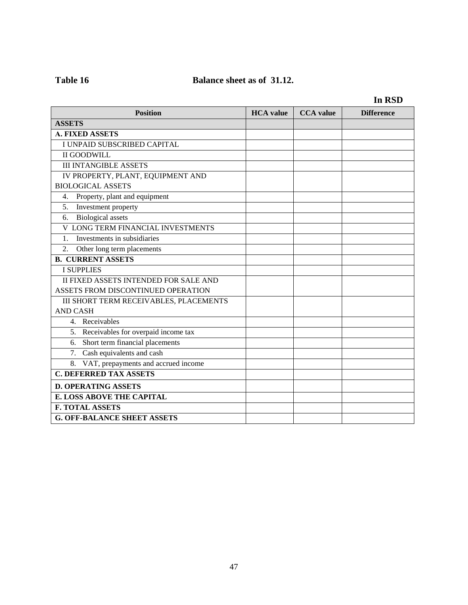# Table 16 **Balance sheet as of 31.12.**

|                                             |                  |                  | IN KƏD            |
|---------------------------------------------|------------------|------------------|-------------------|
| <b>Position</b>                             | <b>HCA</b> value | <b>CCA</b> value | <b>Difference</b> |
| <b>ASSETS</b>                               |                  |                  |                   |
| <b>A. FIXED ASSETS</b>                      |                  |                  |                   |
| I UNPAID SUBSCRIBED CAPITAL                 |                  |                  |                   |
| <b>II GOODWILL</b>                          |                  |                  |                   |
| <b>III INTANGIBLE ASSETS</b>                |                  |                  |                   |
| IV PROPERTY, PLANT, EQUIPMENT AND           |                  |                  |                   |
| <b>BIOLOGICAL ASSETS</b>                    |                  |                  |                   |
| Property, plant and equipment<br>4.         |                  |                  |                   |
| 5.<br>Investment property                   |                  |                  |                   |
| <b>Biological</b> assets<br>6.              |                  |                  |                   |
| V LONG TERM FINANCIAL INVESTMENTS           |                  |                  |                   |
| Investments in subsidiaries<br>$\mathbf{1}$ |                  |                  |                   |
| Other long term placements<br>2.            |                  |                  |                   |
| <b>B. CURRENT ASSETS</b>                    |                  |                  |                   |
| <b>I SUPPLIES</b>                           |                  |                  |                   |
| II FIXED ASSETS INTENDED FOR SALE AND       |                  |                  |                   |
| ASSETS FROM DISCONTINUED OPERATION          |                  |                  |                   |
| III SHORT TERM RECEIVABLES, PLACEMENTS      |                  |                  |                   |
| <b>AND CASH</b>                             |                  |                  |                   |
| 4. Receivables                              |                  |                  |                   |
| 5. Receivables for overpaid income tax      |                  |                  |                   |
| 6. Short term financial placements          |                  |                  |                   |
| 7. Cash equivalents and cash                |                  |                  |                   |
| 8. VAT, prepayments and accrued income      |                  |                  |                   |
| <b>C. DEFERRED TAX ASSETS</b>               |                  |                  |                   |
| <b>D. OPERATING ASSETS</b>                  |                  |                  |                   |
| <b>E. LOSS ABOVE THE CAPITAL</b>            |                  |                  |                   |
| <b>F. TOTAL ASSETS</b>                      |                  |                  |                   |
| <b>G. OFF-BALANCE SHEET ASSETS</b>          |                  |                  |                   |